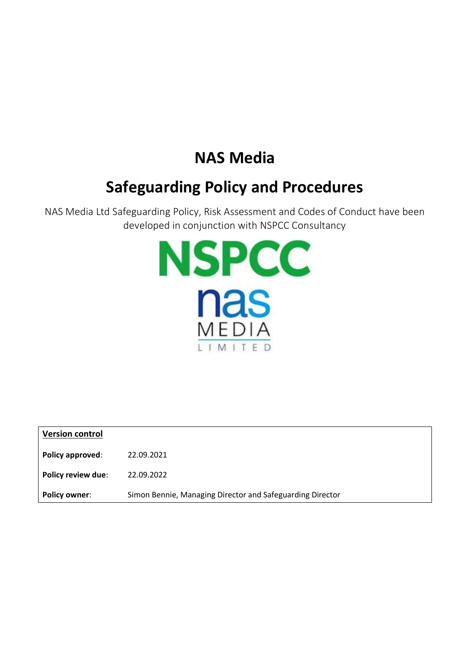# **NAS Media**

# **Safeguarding Policy and Procedures**

NAS Media Ltd Safeguarding Policy, Risk Assessment and Codes of Conduct have been developed in conjunction with NSPCC Consultancy



### **Version control**

**Policy approved**: 22.09.2021

**Policy review due**: 22.09.2022

**Policy owner:** Simon Bennie, Managing Director and Safeguarding Director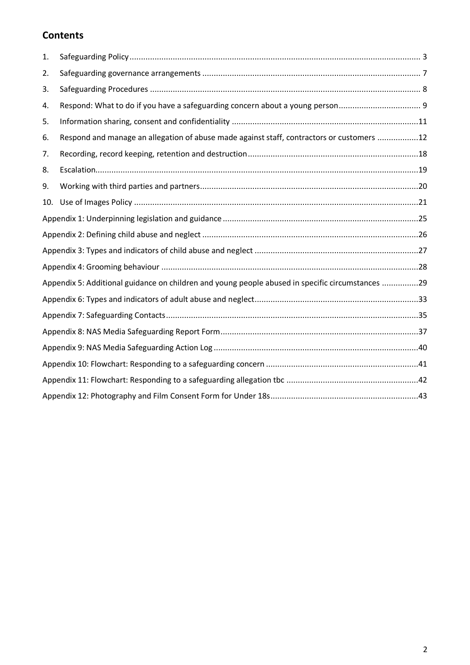## **Contents**

| 1.  |                                                                                                  |  |  |
|-----|--------------------------------------------------------------------------------------------------|--|--|
| 2.  |                                                                                                  |  |  |
| 3.  |                                                                                                  |  |  |
| 4.  | Respond: What to do if you have a safeguarding concern about a young person                      |  |  |
| 5.  |                                                                                                  |  |  |
| 6.  | Respond and manage an allegation of abuse made against staff, contractors or customers 12        |  |  |
| 7.  |                                                                                                  |  |  |
| 8.  |                                                                                                  |  |  |
| 9.  |                                                                                                  |  |  |
| 10. |                                                                                                  |  |  |
|     |                                                                                                  |  |  |
|     |                                                                                                  |  |  |
|     |                                                                                                  |  |  |
|     |                                                                                                  |  |  |
|     | Appendix 5: Additional guidance on children and young people abused in specific circumstances 29 |  |  |
|     |                                                                                                  |  |  |
|     |                                                                                                  |  |  |
|     |                                                                                                  |  |  |
|     |                                                                                                  |  |  |
|     |                                                                                                  |  |  |
|     |                                                                                                  |  |  |
|     |                                                                                                  |  |  |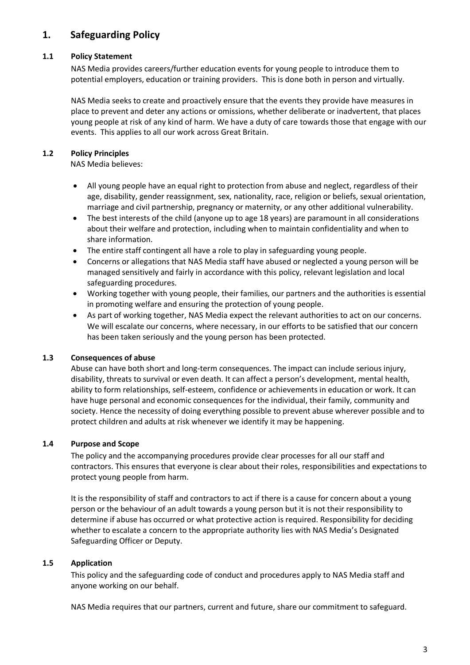## <span id="page-2-0"></span>**1. Safeguarding Policy**

#### **1.1 Policy Statement**

NAS Media provides careers/further education events for young people to introduce them to potential employers, education or training providers. This is done both in person and virtually.

NAS Media seeks to create and proactively ensure that the events they provide have measures in place to prevent and deter any actions or omissions, whether deliberate or inadvertent, that places young people at risk of any kind of harm. We have a duty of care towards those that engage with our events. This applies to all our work across Great Britain.

#### **1.2 Policy Principles**

NAS Media believes:

- All young people have an equal right to protection from abuse and neglect, regardless of their age, disability, gender reassignment, sex, nationality, race, religion or beliefs, sexual orientation, marriage and civil partnership, pregnancy or maternity, or any other additional vulnerability.
- The best interests of the child (anyone up to age 18 years) are paramount in all considerations about their welfare and protection, including when to maintain confidentiality and when to share information.
- The entire staff contingent all have a role to play in safeguarding young people.
- Concerns or allegations that NAS Media staff have abused or neglected a young person will be managed sensitively and fairly in accordance with this policy, relevant legislation and local safeguarding procedures.
- Working together with young people, their families, our partners and the authorities is essential in promoting welfare and ensuring the protection of young people.
- As part of working together, NAS Media expect the relevant authorities to act on our concerns. We will escalate our concerns, where necessary, in our efforts to be satisfied that our concern has been taken seriously and the young person has been protected.

#### **1.3 Consequences of abuse**

Abuse can have both short and long-term consequences. The impact can include serious injury, disability, threats to survival or even death. It can affect a person's development, mental health, ability to form relationships, self-esteem, confidence or achievements in education or work. It can have huge personal and economic consequences for the individual, their family, community and society. Hence the necessity of doing everything possible to prevent abuse wherever possible and to protect children and adults at risk whenever we identify it may be happening.

#### **1.4 Purpose and Scope**

The policy and the accompanying procedures provide clear processes for all our staff and contractors. This ensures that everyone is clear about their roles, responsibilities and expectations to protect young people from harm.

It is the responsibility of staff and contractors to act if there is a cause for concern about a young person or the behaviour of an adult towards a young person but it is not their responsibility to determine if abuse has occurred or what protective action is required. Responsibility for deciding whether to escalate a concern to the appropriate authority lies with NAS Media's Designated Safeguarding Officer or Deputy.

#### **1.5 Application**

This policy and the safeguarding code of conduct and procedures apply to NAS Media staff and anyone working on our behalf.

NAS Media requires that our partners, current and future, share our commitment to safeguard.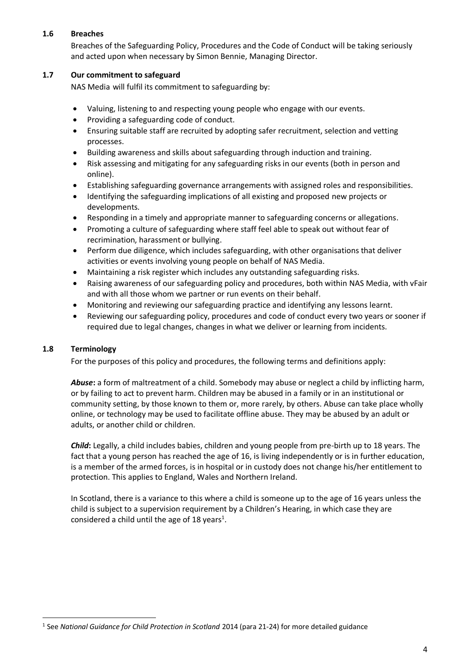#### **1.6 Breaches**

Breaches of the Safeguarding Policy, Procedures and the Code of Conduct will be taking seriously and acted upon when necessary by Simon Bennie, Managing Director.

#### **1.7 Our commitment to safeguard**

NAS Media will fulfil its commitment to safeguarding by:

- Valuing, listening to and respecting young people who engage with our events.
- Providing a safeguarding code of conduct.
- Ensuring suitable staff are recruited by adopting safer recruitment, selection and vetting processes.
- Building awareness and skills about safeguarding through induction and training.
- Risk assessing and mitigating for any safeguarding risks in our events (both in person and online).
- Establishing safeguarding governance arrangements with assigned roles and responsibilities.
- Identifying the safeguarding implications of all existing and proposed new projects or developments.
- Responding in a timely and appropriate manner to safeguarding concerns or allegations.
- Promoting a culture of safeguarding where staff feel able to speak out without fear of recrimination, harassment or bullying.
- Perform due diligence, which includes safeguarding, with other organisations that deliver activities or events involving young people on behalf of NAS Media.
- Maintaining a risk register which includes any outstanding safeguarding risks.
- Raising awareness of our safeguarding policy and procedures, both within NAS Media, with vFair and with all those whom we partner or run events on their behalf.
- Monitoring and reviewing our safeguarding practice and identifying any lessons learnt.
- Reviewing our safeguarding policy, procedures and code of conduct every two years or sooner if required due to legal changes, changes in what we deliver or learning from incidents.

#### **1.8 Terminology**

For the purposes of this policy and procedures, the following terms and definitions apply:

*Abuse***:** a form of maltreatment of a child. Somebody may abuse or neglect a child by inflicting harm, or by failing to act to prevent harm. Children may be abused in a family or in an institutional or community setting, by those known to them or, more rarely, by others. Abuse can take place wholly online, or technology may be used to facilitate offline abuse. They may be abused by an adult or adults, or another child or children.

*Child***:** Legally, a child includes babies, children and young people from pre-birth up to 18 years. The fact that a young person has reached the age of 16, is living independently or is in further education, is a member of the armed forces, is in hospital or in custody does not change his/her entitlement to protection. This applies to England, Wales and Northern Ireland.

In Scotland, there is a variance to this where a child is someone up to the age of 16 years unless the child is subject to a supervision requirement by a Children's Hearing, in which case they are considered a child until the age of 18 years<sup>1</sup>.

<sup>&</sup>lt;sup>1</sup> See National Guidance for Child Protection in Scotland 2014 (para 21-24) for more detailed guidance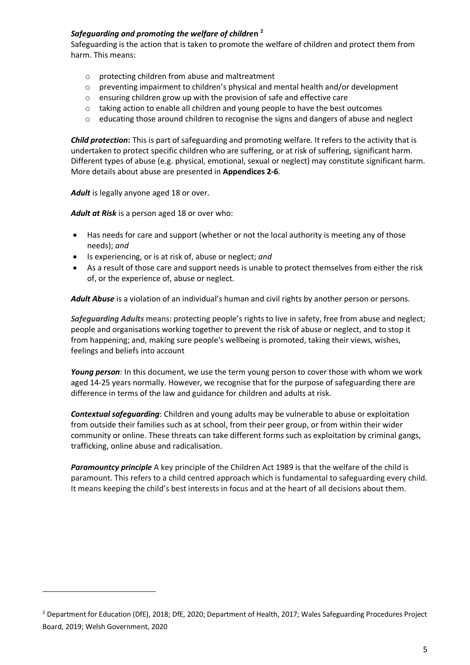#### *Safeguarding and promoting the welfare of childre***n 2**

Safeguarding is the action that is taken to promote the welfare of children and protect them from harm. This means:

- o protecting children from abuse and maltreatment
- o preventing impairment to children's physical and mental health and/or development
- o ensuring children grow up with the provision of safe and effective care
- $\circ$  taking action to enable all children and young people to have the best outcomes
- o educating those around children to recognise the signs and dangers of abuse and neglect

*Child protection***:** This is part of safeguarding and promoting welfare. It refers to the activity that is undertaken to protect specific children who are suffering, or at risk of suffering, significant harm. Different types of abuse (e.g. physical, emotional, sexual or neglect) may constitute significant harm. More details about abuse are presented in **Appendices 2-6**.

Adult is legally anyone aged 18 or over.

*Adult at Risk* is a person aged 18 or over who:

- Has needs for care and support (whether or not the local authority is meeting any of those needs); *and*
- Is experiencing, or is at risk of, abuse or neglect; *and*
- As a result of those care and support needs is unable to protect themselves from either the risk of, or the experience of, abuse or neglect.

Adult Abuse is a violation of an individual's human and civil rights by another person or persons.

*Safeguarding Adults* means: protecting people's rights to live in safety, free from abuse and neglect; people and organisations working together to prevent the risk of abuse or neglect, and to stop it from happening; and, making sure people's wellbeing is promoted, taking their views, wishes, feelings and beliefs into account

*Young person*: In this document, we use the term young person to cover those with whom we work aged 14-25 years normally. However, we recognise that for the purpose of safeguarding there are difference in terms of the law and guidance for children and adults at risk.

*Contextual safeguarding*: Children and young adults may be vulnerable to abuse or exploitation from outside their families such as at school, from their peer group, or from within their wider community or online. These threats can take different forms such as exploitation by criminal gangs, trafficking, online abuse and radicalisation.

*Paramountcy principle* A key principle of the Children Act 1989 is that the welfare of the child is paramount. This refers to a child centred approach which is fundamental to safeguarding every child. It means keeping the child's best interests in focus and at the heart of all decisions about them.

<sup>&</sup>lt;sup>2</sup> Department for Education (DfE), 2018; DfE, 2020; Department of Health, 2017; Wales Safeguarding Procedures Project Board, 2019; Welsh Government, 2020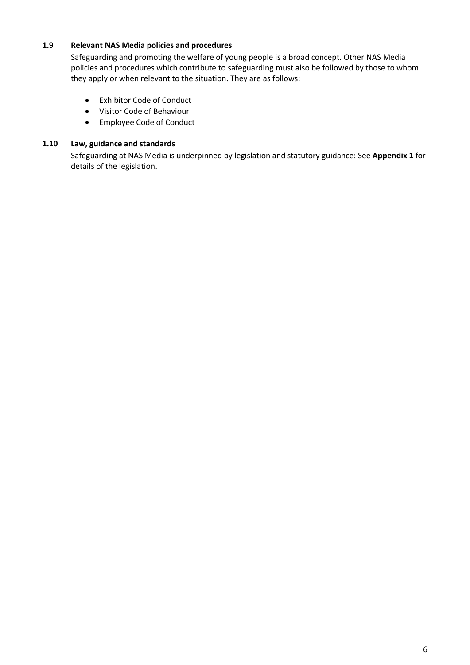#### **1.9 Relevant NAS Media policies and procedures**

Safeguarding and promoting the welfare of young people is a broad concept. Other NAS Media policies and procedures which contribute to safeguarding must also be followed by those to whom they apply or when relevant to the situation. They are as follows:

- Exhibitor Code of Conduct
- Visitor Code of Behaviour
- Employee Code of Conduct

#### **1.10 Law, guidance and standards**

Safeguarding at NAS Media is underpinned by legislation and statutory guidance: See **Appendix 1** for details of the legislation.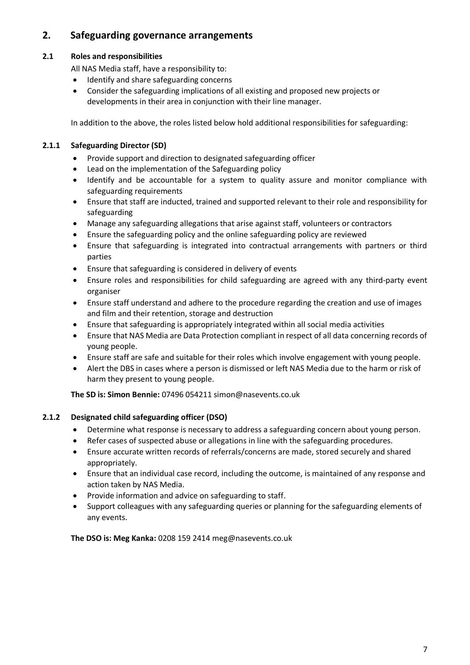## <span id="page-6-0"></span>**2. Safeguarding governance arrangements**

#### **2.1 Roles and responsibilities**

All NAS Media staff, have a responsibility to:

- Identify and share safeguarding concerns
- Consider the safeguarding implications of all existing and proposed new projects or developments in their area in conjunction with their line manager.

In addition to the above, the roles listed below hold additional responsibilities for safeguarding:

### **2.1.1 Safeguarding Director (SD)**

- Provide support and direction to designated safeguarding officer
- Lead on the implementation of the Safeguarding policy
- Identify and be accountable for a system to quality assure and monitor compliance with safeguarding requirements
- Ensure that staff are inducted, trained and supported relevant to their role and responsibility for safeguarding
- Manage any safeguarding allegations that arise against staff, volunteers or contractors
- Ensure the safeguarding policy and the online safeguarding policy are reviewed
- Ensure that safeguarding is integrated into contractual arrangements with partners or third parties
- Ensure that safeguarding is considered in delivery of events
- Ensure roles and responsibilities for child safeguarding are agreed with any third-party event organiser
- Ensure staff understand and adhere to the procedure regarding the creation and use of images and film and their retention, storage and destruction
- Ensure that safeguarding is appropriately integrated within all social media activities
- Ensure that NAS Media are Data Protection compliant in respect of all data concerning records of young people.
- Ensure staff are safe and suitable for their roles which involve engagement with young people.
- Alert the DBS in cases where a person is dismissed or left NAS Media due to the harm or risk of harm they present to young people.

**The SD is: Simon Bennie:** 07496 054211 simon@nasevents.co.uk

#### **2.1.2 Designated child safeguarding officer (DSO)**

- Determine what response is necessary to address a safeguarding concern about young person.
- Refer cases of suspected abuse or allegations in line with the safeguarding procedures.
- Ensure accurate written records of referrals/concerns are made, stored securely and shared appropriately.
- Ensure that an individual case record, including the outcome, is maintained of any response and action taken by NAS Media.
- Provide information and advice on safeguarding to staff.
- Support colleagues with any safeguarding queries or planning for the safeguarding elements of any events.

**The DSO is: Meg Kanka:** 0208 159 2414 meg@nasevents.co.uk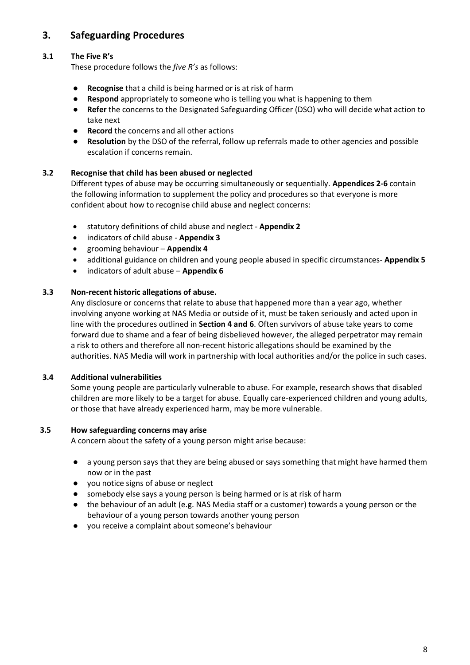## <span id="page-7-0"></span>**3. Safeguarding Procedures**

#### **3.1 The Five R's**

These procedure follows the *five R's* as follows:

- **Recognise** that a child is being harmed or is at risk of harm
- **Respond** appropriately to someone who is telling you what is happening to them
- **Refer** the concerns to the Designated Safeguarding Officer (DSO) who will decide what action to take next
- **Record** the concerns and all other actions
- **Resolution** by the DSO of the referral, follow up referrals made to other agencies and possible escalation if concerns remain.

#### **3.2 Recognise that child has been abused or neglected**

Different types of abuse may be occurring simultaneously or sequentially. **Appendices 2-6** contain the following information to supplement the policy and procedures so that everyone is more confident about how to recognise child abuse and neglect concerns:

- statutory definitions of child abuse and neglect **Appendix 2**
- indicators of child abuse **Appendix 3**
- grooming behaviour **Appendix 4**
- additional guidance on children and young people abused in specific circumstances- **Appendix 5**
- indicators of adult abuse **Appendix 6**

#### **3.3 Non-recent historic allegations of abuse.**

Any disclosure or concerns that relate to abuse that happened more than a year ago, whether involving anyone working at NAS Media or outside of it, must be taken seriously and acted upon in line with the procedures outlined in **Section 4 and 6**. Often survivors of abuse take years to come forward due to shame and a fear of being disbelieved however, the alleged perpetrator may remain a risk to others and therefore all non-recent historic allegations should be examined by the authorities. NAS Media will work in partnership with local authorities and/or the police in such cases.

#### **3.4 Additional vulnerabilities**

Some young people are particularly vulnerable to abuse. For example, research shows that disabled children are more likely to be a target for abuse. Equally care-experienced children and young adults, or those that have already experienced harm, may be more vulnerable.

#### **3.5 How safeguarding concerns may arise**

A concern about the safety of a young person might arise because:

- a young person says that they are being abused or says something that might have harmed them now or in the past
- you notice signs of abuse or neglect
- somebody else says a young person is being harmed or is at risk of harm
- the behaviour of an adult (e.g. NAS Media staff or a customer) towards a young person or the behaviour of a young person towards another young person
- you receive a complaint about someone's behaviour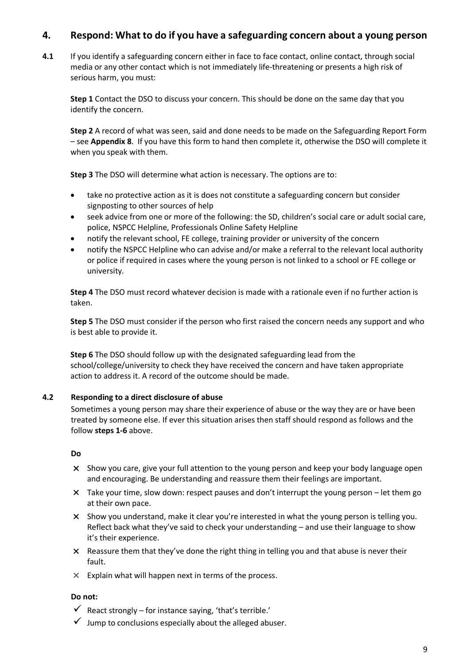### <span id="page-8-0"></span>**4. Respond: What to do if you have a safeguarding concern about a young person**

**4.1** If you identify a safeguarding concern either in face to face contact, online contact, through social media or any other contact which is not immediately life-threatening or presents a high risk of serious harm, you must:

**Step 1** Contact the DSO to discuss your concern. This should be done on the same day that you identify the concern.

**Step 2** A record of what was seen, said and done needs to be made on the Safeguarding Report Form – see **Appendix 8**. If you have this form to hand then complete it, otherwise the DSO will complete it when you speak with them.

**Step 3** The DSO will determine what action is necessary. The options are to:

- take no protective action as it is does not constitute a safeguarding concern but consider signposting to other sources of help
- seek advice from one or more of the following: the SD, children's social care or adult social care, police, NSPCC Helpline, Professionals Online Safety Helpline
- notify the relevant school, FE college, training provider or university of the concern
- notify the NSPCC Helpline who can advise and/or make a referral to the relevant local authority or police if required in cases where the young person is not linked to a school or FE college or university.

**Step 4** The DSO must record whatever decision is made with a rationale even if no further action is taken.

**Step 5** The DSO must consider if the person who first raised the concern needs any support and who is best able to provide it.

**Step 6** The DSO should follow up with the designated safeguarding lead from the school/college/university to check they have received the concern and have taken appropriate action to address it. A record of the outcome should be made.

#### **4.2 Responding to a direct disclosure of abuse**

Sometimes a young person may share their experience of abuse or the way they are or have been treated by someone else. If ever this situation arises then staff should respond as follows and the follow **steps 1-6** above.

**Do**

- Show you care, give your full attention to the young person and keep your body language open and encouraging. Be understanding and reassure them their feelings are important.
- Take your time, slow down: respect pauses and don't interrupt the young person let them go at their own pace.
- Show you understand, make it clear you're interested in what the young person is telling you. Reflect back what they've said to check your understanding – and use their language to show it's their experience.
- Reassure them that they've done the right thing in telling you and that abuse is never their fault.
- $\times$  Explain what will happen next in terms of the process.

#### **Do not:**

- $\checkmark$  React strongly for instance saying, 'that's terrible.'
- $\checkmark$  Jump to conclusions especially about the alleged abuser.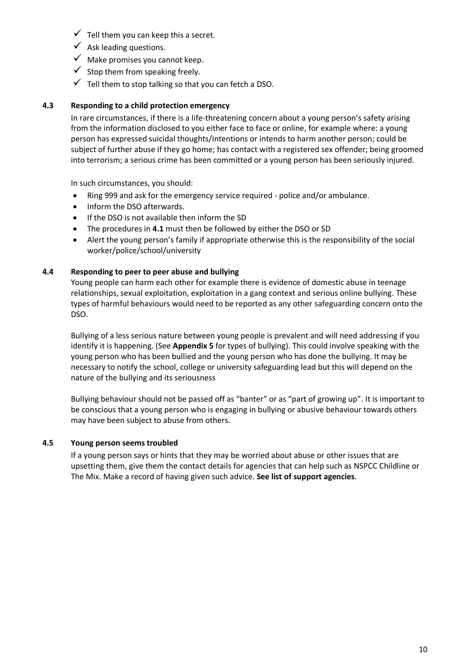- $\checkmark$  Tell them you can keep this a secret.
- $\checkmark$  Ask leading questions.
- $\checkmark$  Make promises you cannot keep.
- $\checkmark$  Stop them from speaking freely.
- $\checkmark$  Tell them to stop talking so that you can fetch a DSO.

#### **4.3 Responding to a child protection emergency**

In rare circumstances, if there is a life-threatening concern about a young person's safety arising from the information disclosed to you either face to face or online, for example where: a young person has expressed suicidal thoughts/intentions or intends to harm another person; could be subject of further abuse if they go home; has contact with a registered sex offender; being groomed into terrorism; a serious crime has been committed or a young person has been seriously injured.

In such circumstances, you should:

- Ring 999 and ask for the emergency service required police and/or ambulance.
- Inform the DSO afterwards.
- If the DSO is not available then inform the SD
- The procedures in **4.1** must then be followed by either the DSO or SD
- Alert the young person's family if appropriate otherwise this is the responsibility of the social worker/police/school/university

#### **4.4 Responding to peer to peer abuse and bullying**

Young people can harm each other for example there is evidence of domestic abuse in teenage relationships, sexual exploitation, exploitation in a gang context and serious online bullying. These types of harmful behaviours would need to be reported as any other safeguarding concern onto the DSO.

Bullying of a less serious nature between young people is prevalent and will need addressing if you identify it is happening. (See **Appendix 5** for types of bullying). This could involve speaking with the young person who has been bullied and the young person who has done the bullying. It may be necessary to notify the school, college or university safeguarding lead but this will depend on the nature of the bullying and its seriousness

Bullying behaviour should not be passed off as "banter" or as "part of growing up". It is important to be conscious that a young person who is engaging in bullying or abusive behaviour towards others may have been subject to abuse from others.

#### **4.5 Young person seems troubled**

If a young person says or hints that they may be worried about abuse or other issues that are upsetting them, give them the contact details for agencies that can help such as NSPCC Childline or The Mix. Make a record of having given such advice. **See list of support agencies**.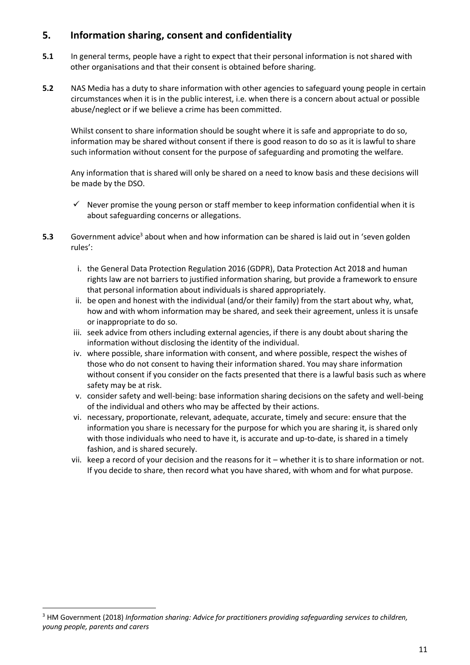## <span id="page-10-0"></span>**5. Information sharing, consent and confidentiality**

- **5.1** In general terms, people have a right to expect that their personal information is not shared with other organisations and that their consent is obtained before sharing.
- **5.2** NAS Media has a duty to share information with other agencies to safeguard young people in certain circumstances when it is in the public interest, i.e. when there is a concern about actual or possible abuse/neglect or if we believe a crime has been committed.

Whilst consent to share information should be sought where it is safe and appropriate to do so, information may be shared without consent if there is good reason to do so as it is lawful to share such information without consent for the purpose of safeguarding and promoting the welfare.

Any information that is shared will only be shared on a need to know basis and these decisions will be made by the DSO.

- $\checkmark$  Never promise the young person or staff member to keep information confidential when it is about safeguarding concerns or allegations.
- **5.3** Government advice<sup>3</sup> about when and how information can be shared is laid out in 'seven golden rules':
	- i. the General Data Protection Regulation 2016 (GDPR), Data Protection Act 2018 and human rights law are not barriers to justified information sharing, but provide a framework to ensure that personal information about individuals is shared appropriately.
	- ii. be open and honest with the individual (and/or their family) from the start about why, what, how and with whom information may be shared, and seek their agreement, unless it is unsafe or inappropriate to do so.
	- iii. seek advice from others including external agencies, if there is any doubt about sharing the information without disclosing the identity of the individual.
	- iv. where possible, share information with consent, and where possible, respect the wishes of those who do not consent to having their information shared. You may share information without consent if you consider on the facts presented that there is a lawful basis such as where safety may be at risk.
	- v. consider safety and well-being: base information sharing decisions on the safety and well-being of the individual and others who may be affected by their actions.
	- vi. necessary, proportionate, relevant, adequate, accurate, timely and secure: ensure that the information you share is necessary for the purpose for which you are sharing it, is shared only with those individuals who need to have it, is accurate and up-to-date, is shared in a timely fashion, and is shared securely.
	- vii. keep a record of your decision and the reasons for it whether it is to share information or not. If you decide to share, then record what you have shared, with whom and for what purpose.

<sup>3</sup> HM Government (2018) *Information sharing: Advice for practitioners providing safeguarding services to children, young people, parents and carers*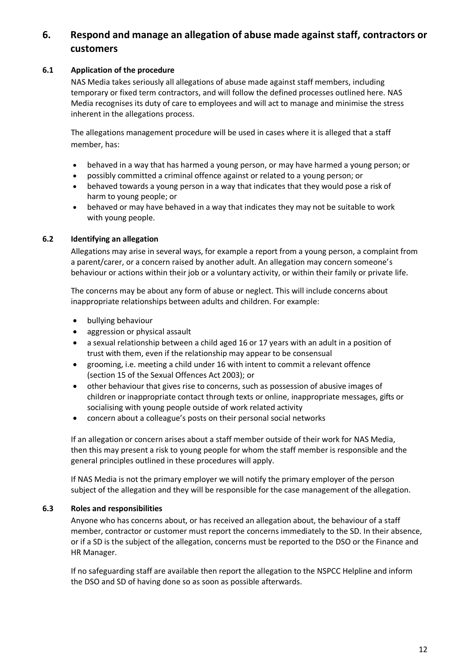## <span id="page-11-0"></span>**6. Respond and manage an allegation of abuse made against staff, contractors or customers**

#### **6.1 Application of the procedure**

NAS Media takes seriously all allegations of abuse made against staff members, including temporary or fixed term contractors, and will follow the defined processes outlined here. NAS Media recognises its duty of care to employees and will act to manage and minimise the stress inherent in the allegations process.

The allegations management procedure will be used in cases where it is alleged that a staff member, has:

- behaved in a way that has harmed a young person, or may have harmed a young person; or
- possibly committed a criminal offence against or related to a young person; or
- behaved towards a young person in a way that indicates that they would pose a risk of harm to young people; or
- behaved or may have behaved in a way that indicates they may not be suitable to work with young people.

#### **6.2 Identifying an allegation**

Allegations may arise in several ways, for example a report from a young person, a complaint from a parent/carer, or a concern raised by another adult. An allegation may concern someone's behaviour or actions within their job or a voluntary activity, or within their family or private life.

The concerns may be about any form of abuse or neglect. This will include concerns about inappropriate relationships between adults and children. For example:

- bullying behaviour
- aggression or physical assault
- a sexual relationship between a child aged 16 or 17 years with an adult in a position of trust with them, even if the relationship may appear to be consensual
- grooming, i.e. meeting a child under 16 with intent to commit a relevant offence (section 15 of the Sexual Offences Act 2003); or
- other behaviour that gives rise to concerns, such as possession of abusive images of children or inappropriate contact through texts or online, inappropriate messages, gifts or socialising with young people outside of work related activity
- concern about a colleague's posts on their personal social networks

If an allegation or concern arises about a staff member outside of their work for NAS Media, then this may present a risk to young people for whom the staff member is responsible and the general principles outlined in these procedures will apply.

If NAS Media is not the primary employer we will notify the primary employer of the person subject of the allegation and they will be responsible for the case management of the allegation.

#### **6.3 Roles and responsibilities**

Anyone who has concerns about, or has received an allegation about, the behaviour of a staff member, contractor or customer must report the concerns immediately to the SD. In their absence, or if a SD is the subject of the allegation, concerns must be reported to the DSO or the Finance and HR Manager.

If no safeguarding staff are available then report the allegation to the NSPCC Helpline and inform the DSO and SD of having done so as soon as possible afterwards.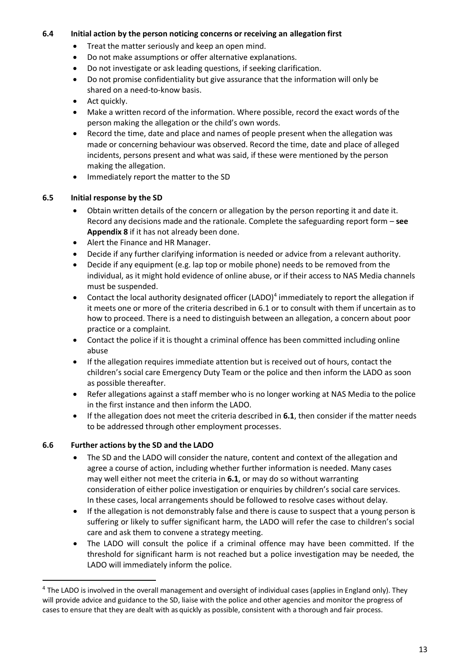#### **6.4 Initial action by the person noticing concerns or receiving an allegation first**

- Treat the matter seriously and keep an open mind.
- Do not make assumptions or offer alternative explanations.
- Do not investigate or ask leading questions, if seeking clarification.
- Do not promise confidentiality but give assurance that the information will only be shared on a need-to-know basis.
- Act quickly.
- Make a written record of the information. Where possible, record the exact words of the person making the allegation or the child's own words.
- Record the time, date and place and names of people present when the allegation was made or concerning behaviour was observed. Record the time, date and place of alleged incidents, persons present and what was said, if these were mentioned by the person making the allegation.
- Immediately report the matter to the SD

#### **6.5 Initial response by the SD**

- Obtain written details of the concern or allegation by the person reporting it and date it. Record any decisions made and the rationale. Complete the safeguarding report form – **see Appendix 8** if it has not already been done.
- Alert the Finance and HR Manager.
- Decide if any further clarifying information is needed or advice from a relevant authority.
- Decide if any equipment (e.g. lap top or mobile phone) needs to be removed from the individual, as it might hold evidence of online abuse, or if their access to NAS Media channels must be suspended.
- Contact the local authority designated officer (LADO)<sup>4</sup> immediately to report the allegation if it meets one or more of the criteria described in 6.1 or to consult with them if uncertain as to how to proceed. There is a need to distinguish between an allegation, a concern about poor practice or a complaint.
- Contact the police if it is thought a criminal offence has been committed including online abuse
- If the allegation requires immediate attention but is received out of hours, contact the children's social care Emergency Duty Team or the police and then inform the LADO as soon as possible thereafter.
- Refer allegations against a staff member who is no longer working at NAS Media to the police in the first instance and then inform the LADO.
- If the allegation does not meet the criteria described in **6.1**, then consider if the matter needs to be addressed through other employment processes.

#### **6.6 Further actions by the SD and the LADO**

- The SD and the LADO will consider the nature, content and context of the allegation and agree a course of action, including whether further information is needed. Many cases may well either not meet the criteria in **6.1**, or may do so without warranting consideration of either police investigation or enquiries by children's social care services. In these cases, local arrangements should be followed to resolve cases without delay.
- If the allegation is not demonstrably false and there is cause to suspect that a young person is suffering or likely to suffer significant harm, the LADO will refer the case to children's social care and ask them to convene a strategy meeting.
- The LADO will consult the police if a criminal offence may have been committed. If the threshold for significant harm is not reached but a police investigation may be needed, the LADO will immediately inform the police.

<sup>&</sup>lt;sup>4</sup> The LADO is involved in the overall management and oversight of individual cases (applies in England only). They will provide advice and guidance to the SD, liaise with the police and other agencies and monitor the progress of cases to ensure that they are dealt with as quickly as possible, consistent with a thorough and fair process.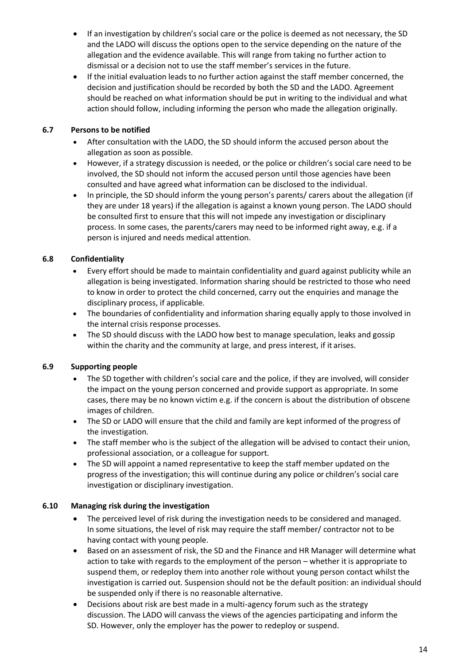- If an investigation by children's social care or the police is deemed as not necessary, the SD and the LADO will discuss the options open to the service depending on the nature of the allegation and the evidence available. This will range from taking no further action to dismissal or a decision not to use the staff member's services in the future.
- If the initial evaluation leads to no further action against the staff member concerned, the decision and justification should be recorded by both the SD and the LADO. Agreement should be reached on what information should be put in writing to the individual and what action should follow, including informing the person who made the allegation originally.

#### **6.7 Persons to be notified**

- After consultation with the LADO, the SD should inform the accused person about the allegation as soon as possible.
- However, if a strategy discussion is needed, or the police or children's social care need to be involved, the SD should not inform the accused person until those agencies have been consulted and have agreed what information can be disclosed to the individual.
- In principle, the SD should inform the young person's parents/ carers about the allegation (if they are under 18 years) if the allegation is against a known young person. The LADO should be consulted first to ensure that this will not impede any investigation or disciplinary process. In some cases, the parents/carers may need to be informed right away, e.g. if a person is injured and needs medical attention.

#### **6.8 Confidentiality**

- Every effort should be made to maintain confidentiality and guard against publicity while an allegation is being investigated. Information sharing should be restricted to those who need to know in order to protect the child concerned, carry out the enquiries and manage the disciplinary process, if applicable.
- The boundaries of confidentiality and information sharing equally apply to those involved in the internal crisis response processes.
- The SD should discuss with the LADO how best to manage speculation, leaks and gossip within the charity and the community at large, and press interest, if it arises.

#### **6.9 Supporting people**

- The SD together with children's social care and the police, if they are involved, will consider the impact on the young person concerned and provide support as appropriate. In some cases, there may be no known victim e.g. if the concern is about the distribution of obscene images of children.
- The SD or LADO will ensure that the child and family are kept informed of the progress of the investigation.
- The staff member who is the subject of the allegation will be advised to contact their union, professional association, or a colleague for support.
- The SD will appoint a named representative to keep the staff member updated on the progress of the investigation; this will continue during any police or children's social care investigation or disciplinary investigation.

#### **6.10 Managing risk during the investigation**

- The perceived level of risk during the investigation needs to be considered and managed. In some situations, the level of risk may require the staff member/ contractor not to be having contact with young people.
- Based on an assessment of risk, the SD and the Finance and HR Manager will determine what action to take with regards to the employment of the person – whether it is appropriate to suspend them, or redeploy them into another role without young person contact whilst the investigation is carried out. Suspension should not be the default position: an individual should be suspended only if there is no reasonable alternative.
- Decisions about risk are best made in a multi-agency forum such as the strategy discussion. The LADO will canvass the views of the agencies participating and inform the SD. However, only the employer has the power to redeploy or suspend.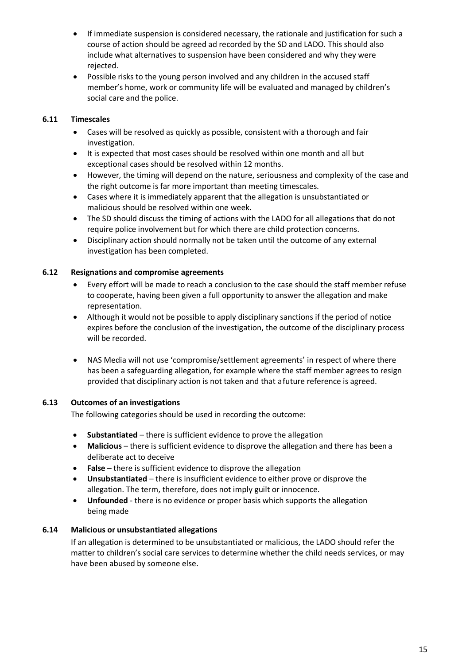- If immediate suspension is considered necessary, the rationale and justification for such a course of action should be agreed ad recorded by the SD and LADO. This should also include what alternatives to suspension have been considered and why they were rejected.
- Possible risks to the young person involved and any children in the accused staff member's home, work or community life will be evaluated and managed by children's social care and the police.

#### **6.11 Timescales**

- Cases will be resolved as quickly as possible, consistent with a thorough and fair investigation.
- It is expected that most cases should be resolved within one month and all but exceptional cases should be resolved within 12 months.
- However, the timing will depend on the nature, seriousness and complexity of the case and the right outcome is far more important than meeting timescales.
- Cases where it is immediately apparent that the allegation is unsubstantiated or malicious should be resolved within one week.
- The SD should discuss the timing of actions with the LADO for all allegations that do not require police involvement but for which there are child protection concerns.
- Disciplinary action should normally not be taken until the outcome of any external investigation has been completed.

#### **6.12 Resignations and compromise agreements**

- Every effort will be made to reach a conclusion to the case should the staff member refuse to cooperate, having been given a full opportunity to answer the allegation and make representation.
- Although it would not be possible to apply disciplinary sanctions if the period of notice expires before the conclusion of the investigation, the outcome of the disciplinary process will be recorded.
- NAS Media will not use 'compromise/settlement agreements' in respect of where there has been a safeguarding allegation, for example where the staff member agrees to resign provided that disciplinary action is not taken and that a future reference is agreed.

#### **6.13 Outcomes of an investigations**

The following categories should be used in recording the outcome:

- **Substantiated**  there is sufficient evidence to prove the allegation
- Malicious there is sufficient evidence to disprove the allegation and there has been a deliberate act to deceive
- **False** there is sufficient evidence to disprove the allegation
- **Unsubstantiated**  there is insufficient evidence to either prove or disprove the allegation. The term, therefore, does not imply guilt or innocence.
- **Unfounded**  there is no evidence or proper basis which supports the allegation being made

#### **6.14 Malicious or unsubstantiated allegations**

If an allegation is determined to be unsubstantiated or malicious, the LADO should refer the matter to children's social care services to determine whether the child needs services, or may have been abused by someone else.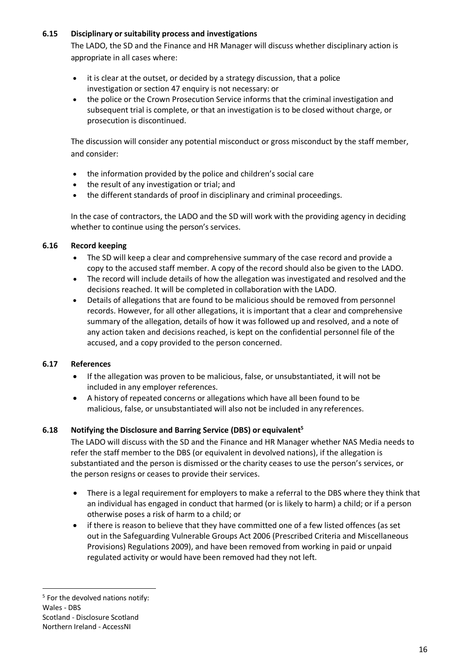#### **6.15 Disciplinary or suitability process and investigations**

The LADO, the SD and the Finance and HR Manager will discuss whether disciplinary action is appropriate in all cases where:

- it is clear at the outset, or decided by a strategy discussion, that a police investigation or section 47 enquiry is not necessary: or
- the police or the Crown Prosecution Service informs that the criminal investigation and subsequent trial is complete, or that an investigation is to be closed without charge, or prosecution is discontinued.

The discussion will consider any potential misconduct or gross misconduct by the staff member, and consider:

- the information provided by the police and children's social care
- the result of any investigation or trial; and
- the different standards of proof in disciplinary and criminal proceedings.

In the case of contractors, the LADO and the SD will work with the providing agency in deciding whether to continue using the person's services.

#### **6.16 Record keeping**

- The SD will keep a clear and comprehensive summary of the case record and provide a copy to the accused staff member. A copy of the record should also be given to the LADO.
- The record will include details of how the allegation was investigated and resolved and the decisions reached. It will be completed in collaboration with the LADO.
- Details of allegations that are found to be malicious should be removed from personnel records. However, for all other allegations, it is important that a clear and comprehensive summary of the allegation, details of how it was followed up and resolved, and a note of any action taken and decisions reached, is kept on the confidential personnel file of the accused, and a copy provided to the person concerned.

#### **6.17 References**

- If the allegation was proven to be malicious, false, or unsubstantiated, it will not be included in any employer references.
- A history of repeated concerns or allegations which have all been found to be malicious, false, or unsubstantiated will also not be included in any references.

#### **6.18 Notifying the Disclosure and Barring Service (DBS) or equivalent<sup>5</sup>**

The LADO will discuss with the SD and the Finance and HR Manager whether NAS Media needs to refer the staff member to the DBS (or equivalent in devolved nations), if the allegation is substantiated and the person is dismissed or the charity ceases to use the person's services, or the person resigns or ceases to provide their services.

- There is a legal requirement for employers to make a referral to the DBS where they think that an individual has engaged in conduct that harmed (or is likely to harm) a child; or if a person otherwise poses a risk of harm to a child; or
- if there is reason to believe that they have committed one of a few listed offences (as set out in the Safeguarding Vulnerable Groups Act 2006 (Prescribed Criteria and Miscellaneous Provisions) Regulations 2009), and have been removed from working in paid or unpaid regulated activity or would have been removed had they not left.

<sup>&</sup>lt;sup>5</sup> For the devolved nations notify: Wales - DBS Scotland - Disclosure Scotland Northern Ireland - AccessNI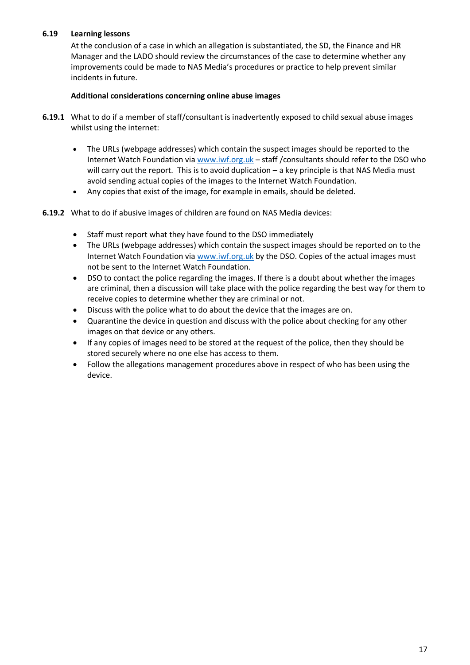#### **6.19 Learning lessons**

At the conclusion of a case in which an allegation is substantiated, the SD, the Finance and HR Manager and the LADO should review the circumstances of the case to determine whether any improvements could be made to NAS Media's procedures or practice to help prevent similar incidents in future.

#### **Additional considerations concerning online abuse images**

- **6.19.1** What to do if a member of staff/consultant is inadvertently exposed to child sexual abuse images whilst using the internet:
	- The URLs (webpage addresses) which contain the suspect images should be reported to the Internet Watch Foundation via [www.iwf.org.uk](https://www.iwf.org.uk/) - staff /consultants should refer to the DSO who will carry out the report. This is to avoid duplication – a key principle is that NAS Media must avoid sending actual copies of the images to the Internet Watch Foundation.
	- Any copies that exist of the image, for example in emails, should be deleted.
- **6.19.2** What to do if abusive images of children are found on NAS Media devices:
	- Staff must report what they have found to the DSO immediately
	- The URLs (webpage addresses) which contain the suspect images should be reported on to the Internet Watch Foundation via [www.iwf.org.uk](https://www.iwf.org.uk/) by the DSO. Copies of the actual images must not be sent to the Internet Watch Foundation.
	- DSO to contact the police regarding the images. If there is a doubt about whether the images are criminal, then a discussion will take place with the police regarding the best way for them to receive copies to determine whether they are criminal or not.
	- Discuss with the police what to do about the device that the images are on.
	- Quarantine the device in question and discuss with the police about checking for any other images on that device or any others.
	- If any copies of images need to be stored at the request of the police, then they should be stored securely where no one else has access to them.
	- Follow the allegations management procedures above in respect of who has been using the device.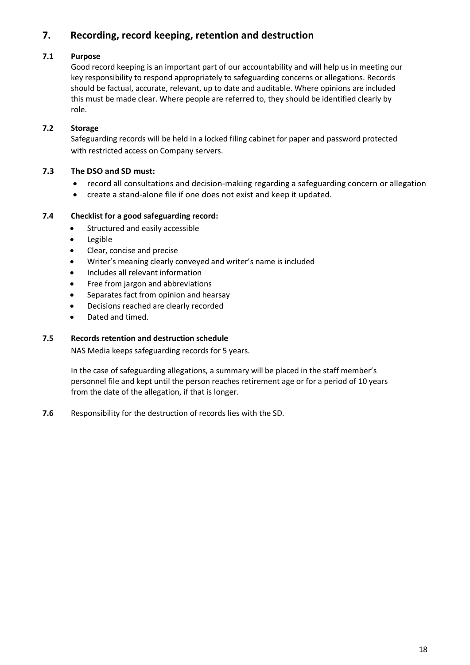## <span id="page-17-0"></span>**7. Recording, record keeping, retention and destruction**

#### **7.1 Purpose**

Good record keeping is an important part of our accountability and will help us in meeting our key responsibility to respond appropriately to safeguarding concerns or allegations. Records should be factual, accurate, relevant, up to date and auditable. Where opinions are included this must be made clear. Where people are referred to, they should be identified clearly by role.

#### **7.2 Storage**

Safeguarding records will be held in a locked filing cabinet for paper and password protected with restricted access on Company servers.

#### **7.3 The DSO and SD must:**

- record all consultations and decision-making regarding a safeguarding concern or allegation
- create a stand-alone file if one does not exist and keep it updated.

#### **7.4 Checklist for a good safeguarding record:**

- Structured and easily accessible
- Legible
- Clear, concise and precise
- Writer's meaning clearly conveyed and writer's name is included
- Includes all relevant information
- Free from jargon and abbreviations
- Separates fact from opinion and hearsay
- Decisions reached are clearly recorded
- Dated and timed.

#### **7.5 Records retention and destruction schedule**

NAS Media keeps safeguarding records for 5 years.

In the case of safeguarding allegations, a summary will be placed in the staff member's personnel file and kept until the person reaches retirement age or for a period of 10 years from the date of the allegation, if that is longer.

**7.6** Responsibility for the destruction of records lies with the SD.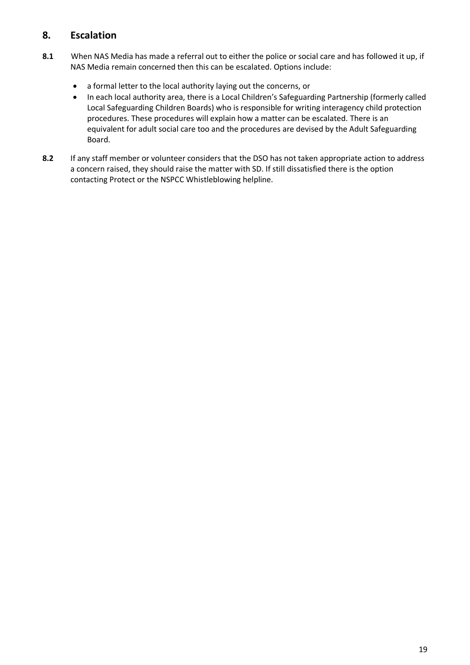## <span id="page-18-0"></span>**8. Escalation**

- **8.1** When NAS Media has made a referral out to either the police or social care and has followed it up, if NAS Media remain concerned then this can be escalated. Options include:
	- a formal letter to the local authority laying out the concerns, or
	- In each local authority area, there is a Local Children's Safeguarding Partnership (formerly called Local Safeguarding Children Boards) who is responsible for writing interagency child protection procedures. These procedures will explain how a matter can be escalated. There is an equivalent for adult social care too and the procedures are devised by the Adult Safeguarding Board.
- **8.2** If any staff member or volunteer considers that the DSO has not taken appropriate action to address a concern raised, they should raise the matter with SD. If still dissatisfied there is the option contacting Protect or the NSPCC Whistleblowing helpline.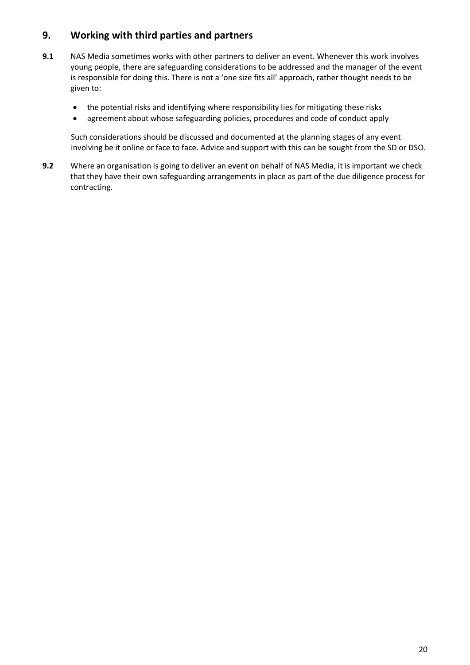## <span id="page-19-0"></span>**9. Working with third parties and partners**

- **9.1** NAS Media sometimes works with other partners to deliver an event. Whenever this work involves young people, there are safeguarding considerations to be addressed and the manager of the event is responsible for doing this. There is not a 'one size fits all' approach, rather thought needs to be given to:
	- the potential risks and identifying where responsibility lies for mitigating these risks
	- agreement about whose safeguarding policies, procedures and code of conduct apply

Such considerations should be discussed and documented at the planning stages of any event involving be it online or face to face. Advice and support with this can be sought from the SD or DSO.

**9.2** Where an organisation is going to deliver an event on behalf of NAS Media, it is important we check that they have their own safeguarding arrangements in place as part of the due diligence process for contracting.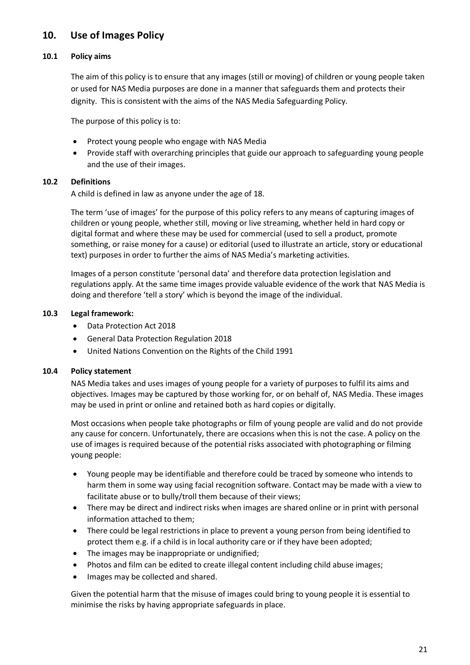## <span id="page-20-0"></span>**10. Use of Images Policy**

#### **10.1 Policy aims**

The aim of this policy is to ensure that any images (still or moving) of children or young people taken or used for NAS Media purposes are done in a manner that safeguards them and protects their dignity. This is consistent with the aims of the NAS Media Safeguarding Policy.

The purpose of this policy is to:

- Protect young people who engage with NAS Media
- Provide staff with overarching principles that guide our approach to safeguarding young people and the use of their images.

#### **10.2 Definitions**

A child is defined in law as anyone under the age of 18.

The term 'use of images' for the purpose of this policy refers to any means of capturing images of children or young people, whether still, moving or live streaming, whether held in hard copy or digital format and where these may be used for commercial (used to sell a product, promote something, or raise money for a cause) or editorial (used to illustrate an article, story or educational text) purposes in order to further the aims of NAS Media's marketing activities.

Images of a person constitute 'personal data' and therefore data protection legislation and regulations apply. At the same time images provide valuable evidence of the work that NAS Media is doing and therefore 'tell a story' which is beyond the image of the individual.

#### **10.3 Legal framework:**

- Data Protection Act 2018
- General Data Protection Regulation 2018
- United Nations Convention on the Rights of the Child 1991

#### **10.4 Policy statement**

NAS Media takes and uses images of young people for a variety of purposes to fulfil its aims and objectives. Images may be captured by those working for, or on behalf of, NAS Media. These images may be used in print or online and retained both as hard copies or digitally.

Most occasions when people take photographs or film of young people are valid and do not provide any cause for concern. Unfortunately, there are occasions when this is not the case. A policy on the use of images is required because of the potential risks associated with photographing or filming young people:

- Young people may be identifiable and therefore could be traced by someone who intends to harm them in some way using facial recognition software. Contact may be made with a view to facilitate abuse or to bully/troll them because of their views;
- There may be direct and indirect risks when images are shared online or in print with personal information attached to them;
- There could be legal restrictions in place to prevent a young person from being identified to protect them e.g. if a child is in local authority care or if they have been adopted;
- The images may be inappropriate or undignified;
- Photos and film can be edited to create illegal content including child abuse images;
- Images may be collected and shared.

Given the potential harm that the misuse of images could bring to young people it is essential to minimise the risks by having appropriate safeguards in place.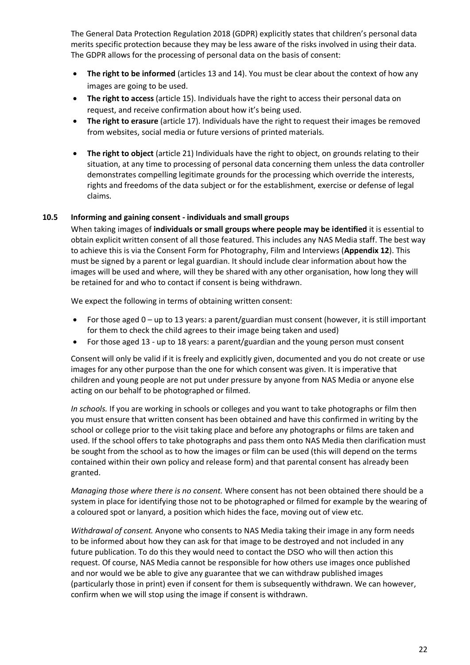The General Data Protection Regulation 2018 (GDPR) explicitly states that children's personal data merits specific protection because they may be less aware of the risks involved in using their data. The GDPR allows for the processing of personal data on the basis of consent:

- The right to be informed (articles 13 and 14). You must be clear about the context of how any images are going to be used.
- **The right to access** (article 15). Individuals have the right to access their personal data on request, and receive confirmation about how it's being used.
- **The right to erasure** (article 17). Individuals have the right to request their images be removed from websites, social media or future versions of printed materials.
- **The right to object** (article 21) Individuals have the right to object, on grounds relating to their situation, at any time to processing of personal data concerning them unless the data controller demonstrates compelling legitimate grounds for the processing which override the interests, rights and freedoms of the data subject or for the establishment, exercise or defense of legal claims.

#### **10.5 Informing and gaining consent - individuals and small groups**

When taking images of **individuals or small groups where people may be identified** it is essential to obtain explicit written consent of all those featured. This includes any NAS Media staff. The best way to achieve this is via the Consent Form for Photography, Film and Interviews (**Appendix 12**). This must be signed by a parent or legal guardian. It should include clear information about how the images will be used and where, will they be shared with any other organisation, how long they will be retained for and who to contact if consent is being withdrawn.

We expect the following in terms of obtaining written consent:

- For those aged 0 up to 13 years: a parent/guardian must consent (however, it is still important for them to check the child agrees to their image being taken and used)
- For those aged 13 up to 18 years: a parent/guardian and the young person must consent

Consent will only be valid if it is freely and explicitly given, documented and you do not create or use images for any other purpose than the one for which consent was given. It is imperative that children and young people are not put under pressure by anyone from NAS Media or anyone else acting on our behalf to be photographed or filmed.

*In schools.* If you are working in schools or colleges and you want to take photographs or film then you must ensure that written consent has been obtained and have this confirmed in writing by the school or college prior to the visit taking place and before any photographs or films are taken and used. If the school offers to take photographs and pass them onto NAS Media then clarification must be sought from the school as to how the images or film can be used (this will depend on the terms contained within their own policy and release form) and that parental consent has already been granted.

*Managing those where there is no consent.* Where consent has not been obtained there should be a system in place for identifying those not to be photographed or filmed for example by the wearing of a coloured spot or lanyard, a position which hides the face, moving out of view etc.

*Withdrawal of consent.* Anyone who consents to NAS Media taking their image in any form needs to be informed about how they can ask for that image to be destroyed and not included in any future publication. To do this they would need to contact the DSO who will then action this request. Of course, NAS Media cannot be responsible for how others use images once published and nor would we be able to give any guarantee that we can withdraw published images (particularly those in print) even if consent for them is subsequently withdrawn. We can however, confirm when we will stop using the image if consent is withdrawn.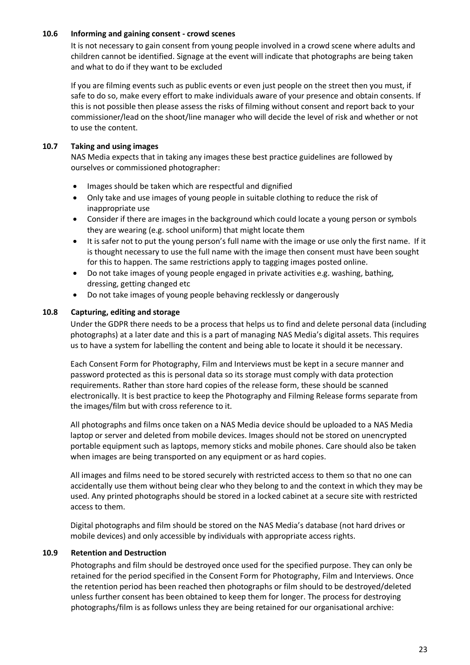#### **10.6 Informing and gaining consent - crowd scenes**

It is not necessary to gain consent from young people involved in a crowd scene where adults and children cannot be identified. Signage at the event will indicate that photographs are being taken and what to do if they want to be excluded

If you are filming events such as public events or even just people on the street then you must, if safe to do so, make every effort to make individuals aware of your presence and obtain consents. If this is not possible then please assess the risks of filming without consent and report back to your commissioner/lead on the shoot/line manager who will decide the level of risk and whether or not to use the content.

#### **10.7 Taking and using images**

NAS Media expects that in taking any images these best practice guidelines are followed by ourselves or commissioned photographer:

- Images should be taken which are respectful and dignified
- Only take and use images of young people in suitable clothing to reduce the risk of inappropriate use
- Consider if there are images in the background which could locate a young person or symbols they are wearing (e.g. school uniform) that might locate them
- It is safer not to put the young person's full name with the image or use only the first name. If it is thought necessary to use the full name with the image then consent must have been sought for this to happen. The same restrictions apply to tagging images posted online.
- Do not take images of young people engaged in private activities e.g. washing, bathing, dressing, getting changed etc
- Do not take images of young people behaving recklessly or dangerously

#### **10.8 Capturing, editing and storage**

Under the GDPR there needs to be a process that helps us to find and delete personal data (including photographs) at a later date and this is a part of managing NAS Media's digital assets. This requires us to have a system for labelling the content and being able to locate it should it be necessary.

Each Consent Form for Photography, Film and Interviews must be kept in a secure manner and password protected as this is personal data so its storage must comply with data protection requirements. Rather than store hard copies of the release form, these should be scanned electronically. It is best practice to keep the Photography and Filming Release forms separate from the images/film but with cross reference to it.

All photographs and films once taken on a NAS Media device should be uploaded to a NAS Media laptop or server and deleted from mobile devices. Images should not be stored on unencrypted portable equipment such as laptops, memory sticks and mobile phones. Care should also be taken when images are being transported on any equipment or as hard copies.

All images and films need to be stored securely with restricted access to them so that no one can accidentally use them without being clear who they belong to and the context in which they may be used. Any printed photographs should be stored in a locked cabinet at a secure site with restricted access to them.

Digital photographs and film should be stored on the NAS Media's database (not hard drives or mobile devices) and only accessible by individuals with appropriate access rights.

#### **10.9 Retention and Destruction**

Photographs and film should be destroyed once used for the specified purpose. They can only be retained for the period specified in the Consent Form for Photography, Film and Interviews. Once the retention period has been reached then photographs or film should to be destroyed/deleted unless further consent has been obtained to keep them for longer. The process for destroying photographs/film is as follows unless they are being retained for our organisational archive: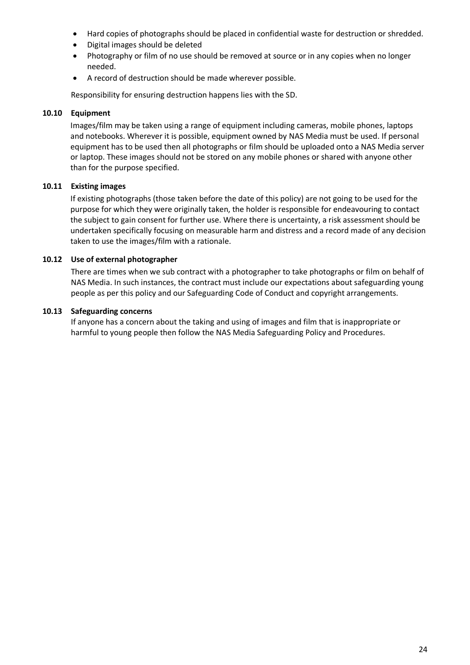- Hard copies of photographs should be placed in confidential waste for destruction or shredded.
- Digital images should be deleted
- Photography or film of no use should be removed at source or in any copies when no longer needed.
- A record of destruction should be made wherever possible.

Responsibility for ensuring destruction happens lies with the SD.

#### **10.10 Equipment**

Images/film may be taken using a range of equipment including cameras, mobile phones, laptops and notebooks. Wherever it is possible, equipment owned by NAS Media must be used. If personal equipment has to be used then all photographs or film should be uploaded onto a NAS Media server or laptop. These images should not be stored on any mobile phones or shared with anyone other than for the purpose specified.

#### **10.11 Existing images**

If existing photographs (those taken before the date of this policy) are not going to be used for the purpose for which they were originally taken, the holder is responsible for endeavouring to contact the subject to gain consent for further use. Where there is uncertainty, a risk assessment should be undertaken specifically focusing on measurable harm and distress and a record made of any decision taken to use the images/film with a rationale.

#### **10.12 Use of external photographer**

There are times when we sub contract with a photographer to take photographs or film on behalf of NAS Media. In such instances, the contract must include our expectations about safeguarding young people as per this policy and our Safeguarding Code of Conduct and copyright arrangements.

#### **10.13 Safeguarding concerns**

If anyone has a concern about the taking and using of images and film that is inappropriate or harmful to young people then follow the NAS Media Safeguarding Policy and Procedures.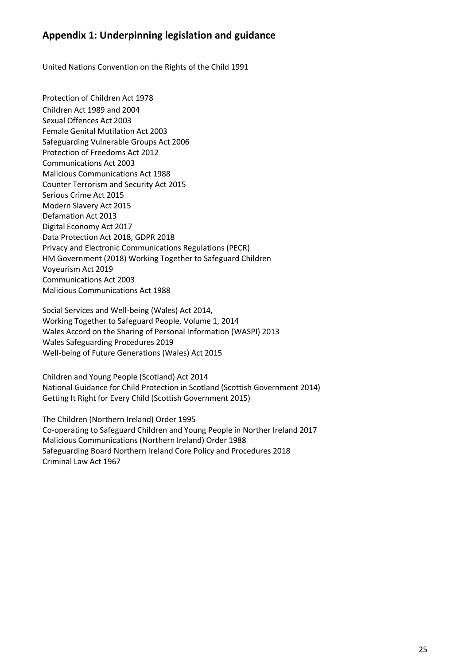## <span id="page-24-0"></span>**Appendix 1: Underpinning legislation and guidance**

United Nations Convention on the Rights of the Child 1991

Protection of Children Act 1978 Children Act 1989 and 2004 Sexual Offences Act 2003 Female Genital Mutilation Act 2003 Safeguarding Vulnerable Groups Act 2006 Protection of Freedoms Act 2012 [Communications Act 2003](http://www.legislation.gov.uk/ukpga/2003/21/contents) [Malicious Communications Act 1988](http://www.legislation.gov.uk/ukpga/1988/27/contents) Counter Terrorism and Security Act 2015 Serious Crime Act 2015 Modern Slavery Act 2015 Defamation Act 2013 [Digital Economy Act 2017](http://www.legislation.gov.uk/ukpga/2017/30/contents) Data Protection Act 2018, GDPR 2018 Privacy and Electronic Communications Regulations (PECR) HM Government (2018) Working Together to Safeguard Children Voyeurism Act 2019 Communications Act 2003 Malicious Communications Act 1988

Social Services and Well-being (Wales) Act 2014, Working Together to Safeguard People, Volume 1, 2014 Wales Accord on the Sharing of Personal Information (WASPI) 2013 Wales Safeguarding Procedures 2019 Well-being of Future Generations (Wales) Act 2015

Children and Young People (Scotland) Act 2014 National Guidance for Child Protection in Scotland (Scottish Government 2014) Getting It Right for Every Child (Scottish Government 2015)

The Children (Northern Ireland) Order 1995 Co-operating to Safeguard Children and Young People in Norther Ireland 2017 [Malicious Communications \(Northern Ireland\) Order 1988](http://www.legislation.gov.uk/nisi/1988/1849/contents) Safeguarding Board Northern Ireland Core Policy and Procedures 2018 Criminal Law Act 1967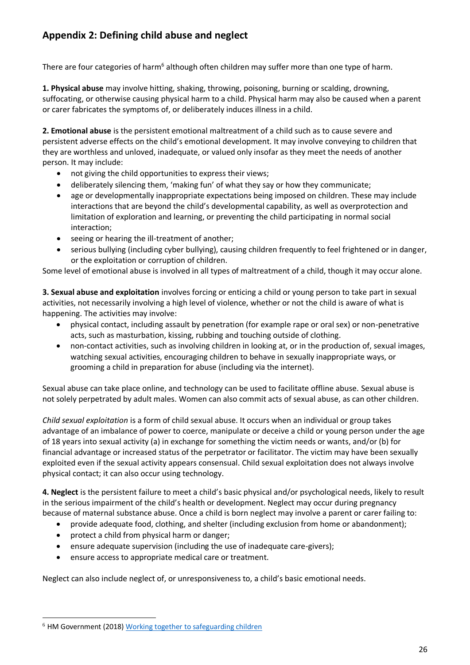## <span id="page-25-0"></span>**Appendix 2: Defining child abuse and neglect**

There are four categories of harm<sup>6</sup> although often children may suffer more than one type of harm.

**1. Physical abuse** may involve hitting, shaking, throwing, poisoning, burning or scalding, drowning, suffocating, or otherwise causing physical harm to a child. Physical harm may also be caused when a parent or carer fabricates the symptoms of, or deliberately induces illness in a child.

**2. Emotional abuse** is the persistent emotional maltreatment of a child such as to cause severe and persistent adverse effects on the child's emotional development. It may involve conveying to children that they are worthless and unloved, inadequate, or valued only insofar as they meet the needs of another person. It may include:

- not giving the child opportunities to express their views;
- deliberately silencing them, 'making fun' of what they say or how they communicate;
- age or developmentally inappropriate expectations being imposed on children. These may include interactions that are beyond the child's developmental capability, as well as overprotection and limitation of exploration and learning, or preventing the child participating in normal social interaction;
- seeing or hearing the ill-treatment of another;
- serious bullying (including cyber bullying), causing children frequently to feel frightened or in danger, or the exploitation or corruption of children.

Some level of emotional abuse is involved in all types of maltreatment of a child, though it may occur alone.

**3. Sexual abuse and exploitation** involves forcing or enticing a child or young person to take part in sexual activities, not necessarily involving a high level of violence, whether or not the child is aware of what is happening. The activities may involve:

- physical contact, including assault by penetration (for example rape or oral sex) or non-penetrative acts, such as masturbation, kissing, rubbing and touching outside of clothing.
- non-contact activities, such as involving children in looking at, or in the production of, sexual images, watching sexual activities, encouraging children to behave in sexually inappropriate ways, or grooming a child in preparation for abuse (including via the internet).

Sexual abuse can take place online, and technology can be used to facilitate offline abuse. Sexual abuse is not solely perpetrated by adult males. Women can also commit acts of sexual abuse, as can other children.

*Child sexual exploitation* is a form of child sexual abuse. It occurs when an individual or group takes advantage of an imbalance of power to coerce, manipulate or deceive a child or young person under the age of 18 years into sexual activity (a) in exchange for something the victim needs or wants, and/or (b) for financial advantage or increased status of the perpetrator or facilitator. The victim may have been sexually exploited even if the sexual activity appears consensual. Child sexual exploitation does not always involve physical contact; it can also occur using technology.

**4. Neglect** is the persistent failure to meet a child's basic physical and/or psychological needs, likely to result in the serious impairment of the child's health or development. Neglect may occur during pregnancy because of maternal substance abuse. Once a child is born neglect may involve a parent or carer failing to:

- provide adequate food, clothing, and shelter (including exclusion from home or abandonment);
- protect a child from physical harm or danger;
- ensure adequate supervision (including the use of inadequate care-givers);
- ensure access to appropriate medical care or treatment.

Neglect can also include neglect of, or unresponsiveness to, a child's basic emotional needs.

<sup>6</sup> HM Government (2018) [Working together to safeguarding children](http://www.workingtogetheronline.co.uk/)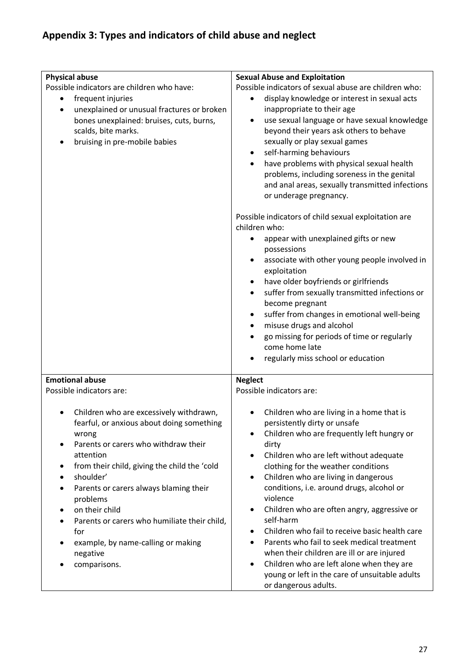## <span id="page-26-0"></span>**Appendix 3: Types and indicators of child abuse and neglect**

| <b>Physical abuse</b><br>Possible indicators are children who have:<br>frequent injuries<br>٠<br>unexplained or unusual fractures or broken<br>$\bullet$<br>bones unexplained: bruises, cuts, burns,<br>scalds, bite marks.<br>bruising in pre-mobile babies                                                                                                                                                                                    | <b>Sexual Abuse and Exploitation</b><br>Possible indicators of sexual abuse are children who:<br>display knowledge or interest in sexual acts<br>$\bullet$<br>inappropriate to their age<br>use sexual language or have sexual knowledge<br>٠<br>beyond their years ask others to behave<br>sexually or play sexual games<br>self-harming behaviours<br>٠<br>have problems with physical sexual health<br>problems, including soreness in the genital<br>and anal areas, sexually transmitted infections<br>or underage pregnancy.<br>Possible indicators of child sexual exploitation are<br>children who:<br>appear with unexplained gifts or new<br>$\bullet$<br>possessions<br>associate with other young people involved in<br>٠<br>exploitation<br>have older boyfriends or girlfriends<br>suffer from sexually transmitted infections or<br>become pregnant<br>suffer from changes in emotional well-being<br>$\bullet$<br>misuse drugs and alcohol<br>$\bullet$<br>go missing for periods of time or regularly<br>come home late<br>regularly miss school or education |
|-------------------------------------------------------------------------------------------------------------------------------------------------------------------------------------------------------------------------------------------------------------------------------------------------------------------------------------------------------------------------------------------------------------------------------------------------|--------------------------------------------------------------------------------------------------------------------------------------------------------------------------------------------------------------------------------------------------------------------------------------------------------------------------------------------------------------------------------------------------------------------------------------------------------------------------------------------------------------------------------------------------------------------------------------------------------------------------------------------------------------------------------------------------------------------------------------------------------------------------------------------------------------------------------------------------------------------------------------------------------------------------------------------------------------------------------------------------------------------------------------------------------------------------------|
| <b>Emotional abuse</b>                                                                                                                                                                                                                                                                                                                                                                                                                          | <b>Neglect</b>                                                                                                                                                                                                                                                                                                                                                                                                                                                                                                                                                                                                                                                                                                                                                                                                                                                                                                                                                                                                                                                                 |
| Possible indicators are:                                                                                                                                                                                                                                                                                                                                                                                                                        | Possible indicators are:                                                                                                                                                                                                                                                                                                                                                                                                                                                                                                                                                                                                                                                                                                                                                                                                                                                                                                                                                                                                                                                       |
| Children who are excessively withdrawn,<br>fearful, or anxious about doing something<br>wrong<br>Parents or carers who withdraw their<br>attention<br>from their child, giving the child the 'cold<br>٠<br>shoulder'<br>Parents or carers always blaming their<br>$\bullet$<br>problems<br>on their child<br>$\bullet$<br>Parents or carers who humiliate their child,<br>for<br>example, by name-calling or making<br>negative<br>comparisons. | Children who are living in a home that is<br>persistently dirty or unsafe<br>Children who are frequently left hungry or<br>dirty<br>Children who are left without adequate<br>$\bullet$<br>clothing for the weather conditions<br>Children who are living in dangerous<br>$\bullet$<br>conditions, i.e. around drugs, alcohol or<br>violence<br>Children who are often angry, aggressive or<br>٠<br>self-harm<br>Children who fail to receive basic health care<br>$\bullet$<br>Parents who fail to seek medical treatment<br>when their children are ill or are injured<br>Children who are left alone when they are<br>$\bullet$<br>young or left in the care of unsuitable adults<br>or dangerous adults.                                                                                                                                                                                                                                                                                                                                                                   |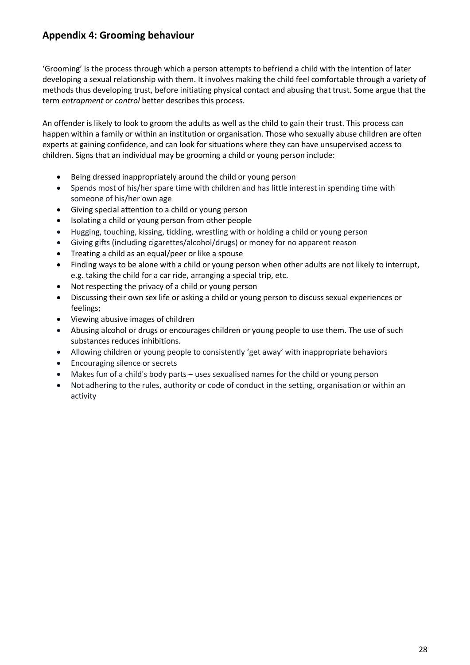## <span id="page-27-0"></span>**Appendix 4: Grooming behaviour**

'Grooming' is the process through which a person attempts to befriend a child with the intention of later developing a sexual relationship with them. It involves making the child feel comfortable through a variety of methods thus developing trust, before initiating physical contact and abusing that trust. Some argue that the term *entrapment* or *control* better describes this process.

An offender is likely to look to groom the adults as well as the child to gain their trust. This process can happen within a family or within an institution or organisation. Those who sexually abuse children are often experts at gaining confidence, and can look for situations where they can have unsupervised access to children. Signs that an individual may be grooming a child or young person include:

- Being dressed inappropriately around the child or young person
- Spends most of his/her spare time with children and has little interest in spending time with someone of his/her own age
- Giving special attention to a child or young person
- Isolating a child or young person from other people
- Hugging, touching, kissing, tickling, wrestling with or holding a child or young person
- Giving gifts (including cigarettes/alcohol/drugs) or money for no apparent reason
- Treating a child as an equal/peer or like a spouse
- Finding ways to be alone with a child or young person when other adults are not likely to interrupt, e.g. taking the child for a car ride, arranging a special trip, etc.
- Not respecting the privacy of a child or young person
- Discussing their own sex life or asking a child or young person to discuss sexual experiences or feelings;
- Viewing abusive images of children
- Abusing [alcohol or drugs](http://www.mosac.net/default.asp?pageid=203&deptid=1) or encourages children or young people to use them. The use of such substances reduces inhibitions.
- Allowing children or young people to consistently 'get away' with inappropriate behaviors
- Encouraging silence or secrets
- Makes fun of a child's body parts uses sexualised names for the child or young person
- Not adhering to the rules, authority or code of conduct in the setting, organisation or within an activity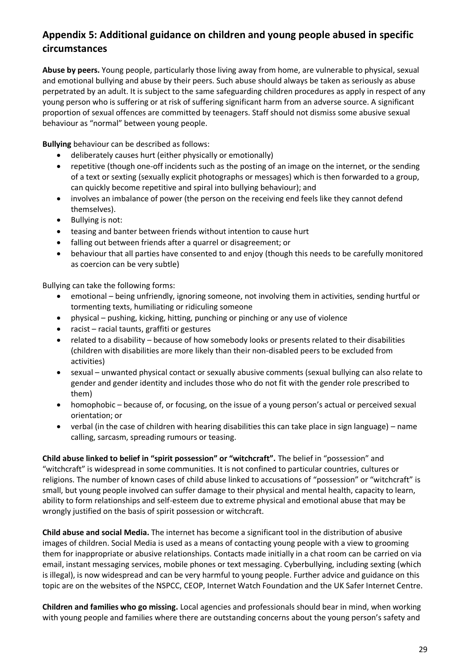## <span id="page-28-0"></span>**Appendix 5: Additional guidance on children and young people abused in specific circumstances**

**Abuse by peers.** Young people, particularly those living away from home, are vulnerable to physical, sexual and emotional bullying and abuse by their peers. Such abuse should always be taken as seriously as abuse perpetrated by an adult. It is subject to the same safeguarding children procedures as apply in respect of any young person who is suffering or at risk of suffering significant harm from an adverse source. A significant proportion of sexual offences are committed by teenagers. Staff should not dismiss some abusive sexual behaviour as "normal" between young people.

**Bullying** behaviour can be described as follows:

- deliberately causes hurt (either physically or emotionally)
- repetitive (though one-off incidents such as the posting of an image on the internet, or the sending of a text or sexting (sexually explicit photographs or messages) which is then forwarded to a group, can quickly become repetitive and spiral into bullying behaviour); and
- involves an imbalance of power (the person on the receiving end feels like they cannot defend themselves).
- Bullying is not:
- teasing and banter between friends without intention to cause hurt
- falling out between friends after a quarrel or disagreement; or
- behaviour that all parties have consented to and enjoy (though this needs to be carefully monitored as coercion can be very subtle)

Bullying can take the following forms:

- emotional being unfriendly, ignoring someone, not involving them in activities, sending hurtful or tormenting texts, humiliating or ridiculing someone
- physical pushing, kicking, hitting, punching or pinching or any use of violence
- racist racial taunts, graffiti or gestures
- related to a disability because of how somebody looks or presents related to their disabilities (children with disabilities are more likely than their non-disabled peers to be excluded from activities)
- sexual unwanted physical contact or sexually abusive comments (sexual bullying can also relate to gender and gender identity and includes those who do not fit with the gender role prescribed to them)
- homophobic because of, or focusing, on the issue of a young person's actual or perceived sexual orientation; or
- verbal (in the case of children with hearing disabilities this can take place in sign language) name calling, sarcasm, spreading rumours or teasing.

**Child abuse linked to belief in "spirit possession" or "witchcraft".** The belief in "possession" and "witchcraft" is widespread in some communities. It is not confined to particular countries, cultures or religions. The number of known cases of child abuse linked to accusations of "possession" or "witchcraft" is small, but young people involved can suffer damage to their physical and mental health, capacity to learn, ability to form relationships and self-esteem due to extreme physical and emotional abuse that may be wrongly justified on the basis of spirit possession or witchcraft.

**Child abuse and social Media.** The internet has become a significant tool in the distribution of abusive images of children. Social Media is used as a means of contacting young people with a view to grooming them for inappropriate or abusive relationships. Contacts made initially in a chat room can be carried on via email, instant messaging services, mobile phones or text messaging. Cyberbullying, including sexting (which is illegal), is now widespread and can be very harmful to young people. Further advice and guidance on this topic are on the websites of the NSPCC, CEOP, Internet Watch Foundation and the UK Safer Internet Centre.

**Children and families who go missing.** Local agencies and professionals should bear in mind, when working with young people and families where there are outstanding concerns about the young person's safety and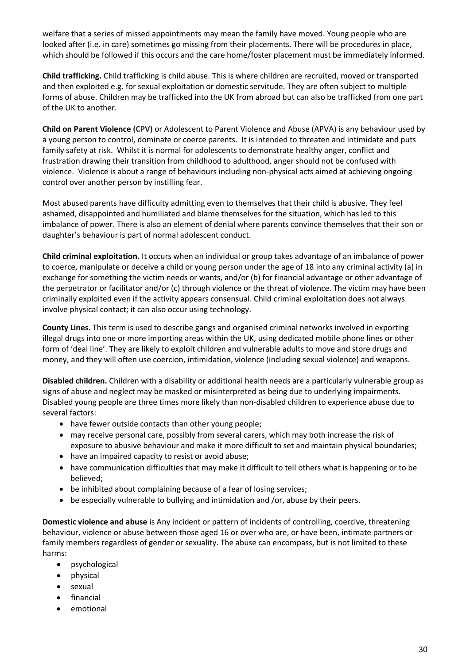welfare that a series of missed appointments may mean the family have moved. Young people who are looked after (i.e. in care) sometimes go missing from their placements. There will be procedures in place, which should be followed if this occurs and the care home/foster placement must be immediately informed.

**Child trafficking.** Child trafficking is child abuse. This is where children are recruited, moved or transported and then exploited e.g. for sexual exploitation or domestic servitude. They are often subject to multiple forms of abuse. Children may be trafficked into the UK from abroad but can also be trafficked from one part of the UK to another.

**Child on Parent Violence (CPV)** or Adolescent to Parent Violence and Abuse (APVA) is any behaviour used by a young person to control, dominate or coerce parents. It is intended to threaten and intimidate and puts family safety at risk. Whilst it is normal for adolescents to demonstrate healthy anger, conflict and frustration drawing their transition from childhood to adulthood, anger should not be confused with violence. Violence is about a range of behaviours including non-physical acts aimed at achieving ongoing control over another person by instilling fear.

Most abused parents have difficulty admitting even to themselves that their child is abusive. They feel ashamed, disappointed and humiliated and blame themselves for the situation, which has led to this imbalance of power. There is also an element of denial where parents convince themselves that their son or daughter's behaviour is part of normal adolescent conduct.

**Child criminal exploitation.** It occurs when an individual or group takes advantage of an imbalance of power to coerce, manipulate or deceive a child or young person under the age of 18 into any criminal activity (a) in exchange for something the victim needs or wants, and/or (b) for financial advantage or other advantage of the perpetrator or facilitator and/or (c) through violence or the threat of violence. The victim may have been criminally exploited even if the activity appears consensual. Child criminal exploitation does not always involve physical contact; it can also occur using technology.

**County Lines.** This term is used to describe gangs and organised criminal networks involved in exporting illegal drugs into one or more importing areas within the UK, using dedicated mobile phone lines or other form of 'deal line'. They are likely to exploit children and vulnerable adults to move and store drugs and money, and they will often use coercion, intimidation, violence (including sexual violence) and weapons.

**Disabled children.** Children with a disability or additional health needs are a particularly vulnerable group as signs of abuse and neglect may be masked or misinterpreted as being due to underlying impairments. Disabled young people are three times more likely than non-disabled children to experience abuse due to several factors:

- have fewer outside contacts than other young people;
- may receive personal care, possibly from several carers, which may both increase the risk of exposure to abusive behaviour and make it more difficult to set and maintain physical boundaries;
- have an impaired capacity to resist or avoid abuse;
- have communication difficulties that may make it difficult to tell others what is happening or to be believed;
- be inhibited about complaining because of a fear of losing services;
- be especially vulnerable to bullying and intimidation and /or, abuse by their peers.

**Domestic violence and abuse** is Any incident or pattern of incidents of controlling, coercive, threatening behaviour, violence or abuse between those aged 16 or over who are, or have been, intimate partners or family members regardless of gender or sexuality. The abuse can encompass, but is not limited to these harms:

- psychological
- physical
- sexual
- financial
- emotional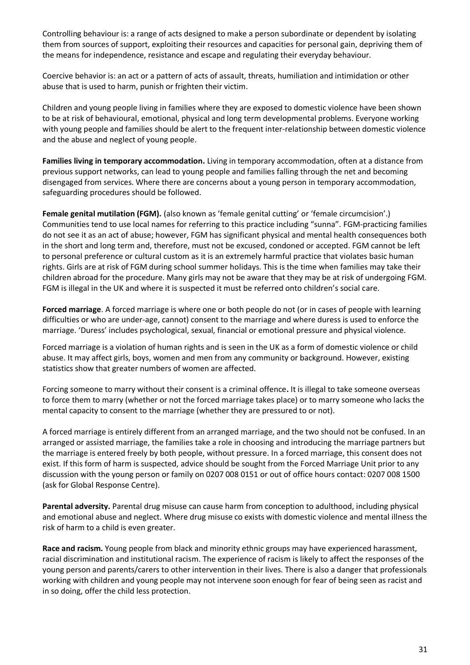Controlling behaviour is: a range of acts designed to make a person subordinate or dependent by isolating them from sources of support, exploiting their resources and capacities for personal gain, depriving them of the means for independence, resistance and escape and regulating their everyday behaviour.

Coercive behavior is: an act or a pattern of acts of assault, threats, humiliation and intimidation or other abuse that is used to harm, punish or frighten their victim.

Children and young people living in families where they are exposed to domestic violence have been shown to be at risk of behavioural, emotional, physical and long term developmental problems. Everyone working with young people and families should be alert to the frequent inter-relationship between domestic violence and the abuse and neglect of young people.

**Families living in temporary accommodation.** Living in temporary accommodation, often at a distance from previous support networks, can lead to young people and families falling through the net and becoming disengaged from services. Where there are concerns about a young person in temporary accommodation, safeguarding procedures should be followed.

**Female genital mutilation (FGM).** (also known as 'female genital cutting' or 'female circumcision'.) Communities tend to use local names for referring to this practice including "sunna". FGM-practicing families do not see it as an act of abuse; however, FGM has significant physical and mental health consequences both in the short and long term and, therefore, must not be excused, condoned or accepted. FGM cannot be left to personal preference or cultural custom as it is an extremely harmful practice that violates basic human rights. Girls are at risk of FGM during school summer holidays. This is the time when families may take their children abroad for the procedure. Many girls may not be aware that they may be at risk of undergoing FGM. FGM is illegal in the UK and where it is suspected it must be referred onto children's social care.

**Forced marriage**. A forced marriage is where one or both people do not (or in cases of people with learning difficulties or who are under-age, cannot) consent to the marriage and where duress is used to enforce the marriage. 'Duress' includes psychological, sexual, financial or emotional pressure and physical violence.

Forced marriage is a violation of human rights and is seen in the UK as a form of domestic violence or child abuse. It may affect girls, boys, women and men from any community or background. However, existing statistics show that greater numbers of women are affected.

Forcing someone to marry without their consent is a criminal offence**.** It is illegal to take someone overseas to force them to marry (whether or not the forced marriage takes place) or to marry someone who lacks the mental capacity to consent to the marriage (whether they are pressured to or not).

A forced marriage is entirely different from an arranged marriage, and the two should not be confused. In an arranged or assisted marriage, the families take a role in choosing and introducing the marriage partners but the marriage is entered freely by both people, without pressure. In a forced marriage, this consent does not exist. If this form of harm is suspected, advice should be sought from the Forced Marriage Unit prior to any discussion with the young person or family on 0207 008 0151 or out of office hours contact: 0207 008 1500 (ask for Global Response Centre).

**Parental adversity.** Parental drug misuse can cause harm from conception to adulthood, including physical and emotional abuse and neglect. Where drug misuse co exists with domestic violence and mental illness the risk of harm to a child is even greater.

**Race and racism.** Young people from black and minority ethnic groups may have experienced harassment, racial discrimination and institutional racism. The experience of racism is likely to affect the responses of the young person and parents/carers to other intervention in their lives. There is also a danger that professionals working with children and young people may not intervene soon enough for fear of being seen as racist and in so doing, offer the child less protection.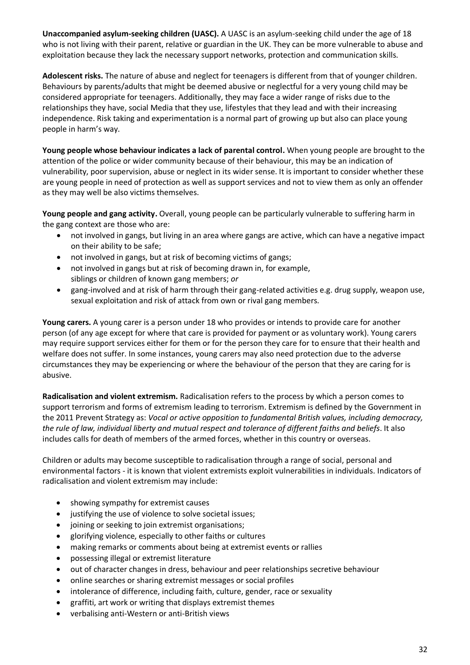**Unaccompanied asylum-seeking children (UASC).** A UASC is an asylum-seeking child under the age of 18 who is not living with their parent, relative or guardian in the UK. They can be more vulnerable to abuse and exploitation because they lack the necessary support networks, protection and communication skills.

**Adolescent risks.** The nature of abuse and neglect for teenagers is different from that of younger children. Behaviours by parents/adults that might be deemed abusive or neglectful for a very young child may be considered appropriate for teenagers. Additionally, they may face a wider range of risks due to the relationships they have, social Media that they use, lifestyles that they lead and with their increasing independence. Risk taking and experimentation is a normal part of growing up but also can place young people in harm's way.

**Young people whose behaviour indicates a lack of parental control.** When young people are brought to the attention of the police or wider community because of their behaviour, this may be an indication of vulnerability, poor supervision, abuse or neglect in its wider sense. It is important to consider whether these are young people in need of protection as well as support services and not to view them as only an offender as they may well be also victims themselves.

**Young people and gang activity.** Overall, young people can be particularly vulnerable to suffering harm in the gang context are those who are:

- not involved in gangs, but living in an area where gangs are active, which can have a negative impact on their ability to be safe;
- not involved in gangs, but at risk of becoming victims of gangs;
- not involved in gangs but at risk of becoming drawn in, for example, siblings or children of known gang members; *or*
- gang-involved and at risk of harm through their gang-related activities e.g. drug supply, weapon use, sexual exploitation and risk of attack from own or rival gang members.

**Young carers.** A young carer is a person under 18 who provides or intends to provide care for another person (of any age except for where that care is provided for payment or as voluntary work). Young carers may require support services either for them or for the person they care for to ensure that their health and welfare does not suffer. In some instances, young carers may also need protection due to the adverse circumstances they may be experiencing or where the behaviour of the person that they are caring for is abusive.

**Radicalisation and violent extremism.** Radicalisation refers to the process by which a person comes to support terrorism and forms of extremism leading to terrorism. Extremism is defined by the Government in the 2011 Prevent Strategy as: *Vocal or active opposition to fundamental British values, including democracy, the rule of law, individual liberty and mutual respect and tolerance of different faiths and beliefs*. It also includes calls for death of members of the armed forces, whether in this country or overseas.

Children or adults may become susceptible to radicalisation through a range of social, personal and environmental factors - it is known that violent extremists exploit vulnerabilities in individuals. Indicators of radicalisation and violent extremism may include:

- showing sympathy for extremist causes
- justifying the use of violence to solve societal issues;
- joining or seeking to join extremist organisations;
- glorifying violence, especially to other faiths or cultures
- making remarks or comments about being at extremist events or rallies
- possessing illegal or extremist literature
- out of character changes in dress, behaviour and peer relationships secretive behaviour
- online searches or sharing extremist messages or social profiles
- intolerance of difference, including faith, culture, gender, race or sexuality
- graffiti, art work or writing that displays extremist themes
- verbalising anti-Western or anti-British views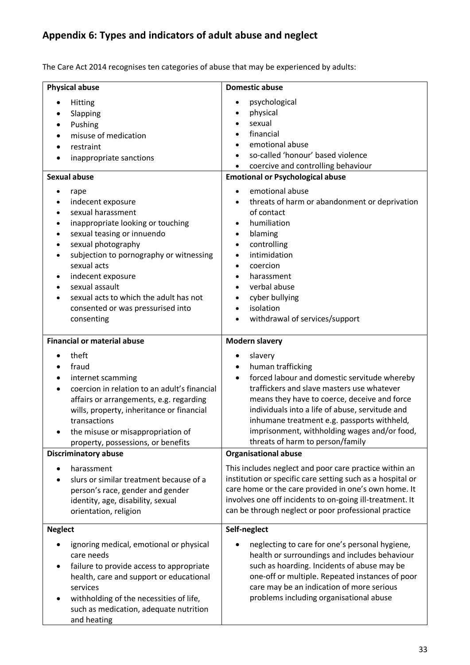## <span id="page-32-0"></span>**Appendix 6: Types and indicators of adult abuse and neglect**

**Physical abuse**  • Hitting • Slapping • Pushing • misuse of medication • restraint • inappropriate sanctions **Domestic abuse**  • psychological • physical • sexual • financial • emotional abuse • so-called 'honour' based violence • coercive and controlling behaviour **Sexual abuse**  • rape • indecent exposure • sexual harassment • inappropriate looking or touching • sexual teasing or innuendo • sexual photography • subjection to pornography or witnessing sexual acts • indecent exposure • sexual assault sexual acts to which the adult has not consented or was pressurised into consenting **Emotional or Psychological abuse** • emotional abuse • threats of harm or abandonment or deprivation of contact • humiliation • blaming • controlling • intimidation • coercion • harassment • verbal abuse • cyber bullying **isolation** • withdrawal of services/support **Financial or material abuse** • theft • fraud • internet scamming • coercion in relation to an adult's financial affairs or arrangements, e.g. regarding wills, property, inheritance or financial transactions • the misuse or misappropriation of property, possessions, or benefits **Modern slavery**  • slavery • human trafficking • forced labour and domestic servitude whereby traffickers and slave masters use whatever means they have to coerce, deceive and force individuals into a life of abuse, servitude and inhumane treatment e.g. passports withheld, imprisonment, withholding wages and/or food, threats of harm to person/family **Discriminatory abuse** • harassment • slurs or similar treatment because of a person's race, gender and gender identity, age, disability, sexual orientation, religion **Organisational abuse** This includes neglect and poor care practice within an institution or specific care setting such as a hospital or care home or the care provided in one's own home. It involves one off incidents to on-going ill-treatment. It can be through neglect or poor professional practice **Neglect**  • ignoring medical, emotional or physical care needs • failure to provide access to appropriate health, care and support or educational services withholding of the necessities of life, such as medication, adequate nutrition and heating **Self-neglect** • neglecting to care for one's personal hygiene, health or surroundings and includes behaviour such as hoarding. Incidents of abuse may be one-off or multiple. Repeated instances of poor care may be an indication of more serious problems including organisational abuse

The Care Act 2014 recognises ten categories of abuse that may be experienced by adults: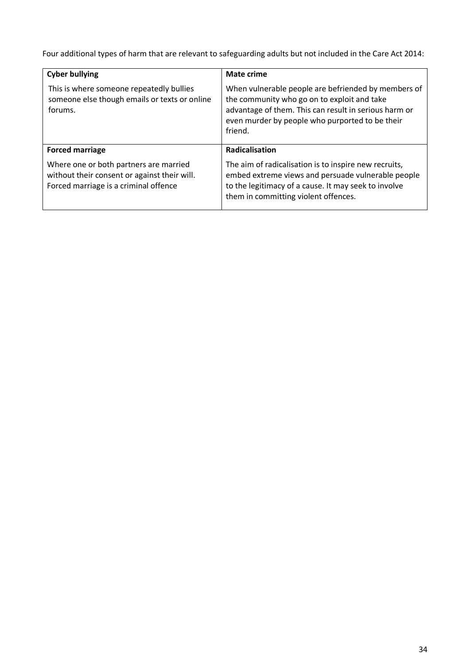Four additional types of harm that are relevant to safeguarding adults but not included in the Care Act 2014:

| <b>Cyber bullying</b>                                                                                                           | Mate crime                                                                                                                                                                                                                |
|---------------------------------------------------------------------------------------------------------------------------------|---------------------------------------------------------------------------------------------------------------------------------------------------------------------------------------------------------------------------|
| This is where someone repeatedly bullies<br>someone else though emails or texts or online<br>forums.                            | When vulnerable people are befriended by members of<br>the community who go on to exploit and take<br>advantage of them. This can result in serious harm or<br>even murder by people who purported to be their<br>friend. |
| <b>Forced marriage</b>                                                                                                          | Radicalisation                                                                                                                                                                                                            |
| Where one or both partners are married<br>without their consent or against their will.<br>Forced marriage is a criminal offence | The aim of radicalisation is to inspire new recruits,<br>embed extreme views and persuade vulnerable people<br>to the legitimacy of a cause. It may seek to involve<br>them in committing violent offences.               |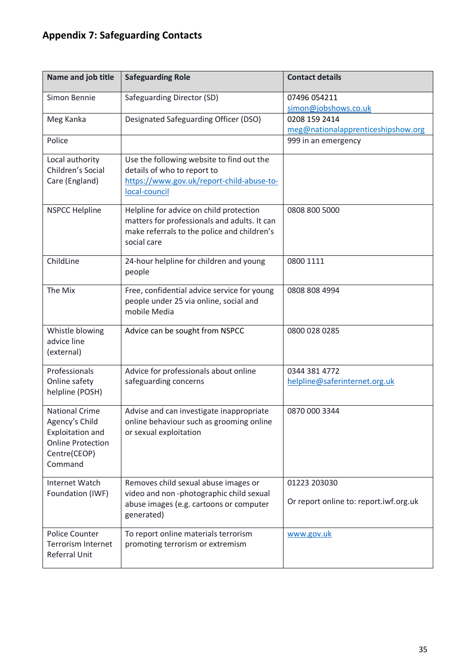## <span id="page-34-0"></span>**Appendix 7: Safeguarding Contacts**

| Name and job title                                                                                                 | <b>Safeguarding Role</b>                                                                                                                              | <b>Contact details</b>                                 |
|--------------------------------------------------------------------------------------------------------------------|-------------------------------------------------------------------------------------------------------------------------------------------------------|--------------------------------------------------------|
| Simon Bennie                                                                                                       | Safeguarding Director (SD)                                                                                                                            | 07496 054211<br>simon@jobshows.co.uk                   |
| Meg Kanka                                                                                                          | Designated Safeguarding Officer (DSO)                                                                                                                 | 0208 159 2414<br>meg@nationalapprenticeshipshow.org    |
| Police                                                                                                             |                                                                                                                                                       | 999 in an emergency                                    |
| Local authority<br>Children's Social<br>Care (England)                                                             | Use the following website to find out the<br>details of who to report to<br>https://www.gov.uk/report-child-abuse-to-<br>local-council                |                                                        |
| <b>NSPCC Helpline</b>                                                                                              | Helpline for advice on child protection<br>matters for professionals and adults. It can<br>make referrals to the police and children's<br>social care | 0808 800 5000                                          |
| ChildLine                                                                                                          | 24-hour helpline for children and young<br>people                                                                                                     | 0800 1111                                              |
| The Mix                                                                                                            | Free, confidential advice service for young<br>people under 25 via online, social and<br>mobile Media                                                 | 0808 808 4994                                          |
| Whistle blowing<br>advice line<br>(external)                                                                       | Advice can be sought from NSPCC                                                                                                                       | 0800 028 0285                                          |
| Professionals<br>Online safety<br>helpline (POSH)                                                                  | Advice for professionals about online<br>safeguarding concerns                                                                                        | 0344 381 4772<br>helpline@saferinternet.org.uk         |
| <b>National Crime</b><br>Agency's Child<br>Exploitation and<br><b>Online Protection</b><br>Centre(CEOP)<br>Command | Advise and can investigate inappropriate<br>online behaviour such as grooming online<br>or sexual exploitation                                        | 0870 000 3344                                          |
| Internet Watch<br>Foundation (IWF)                                                                                 | Removes child sexual abuse images or<br>video and non-photographic child sexual<br>abuse images (e.g. cartoons or computer<br>generated)              | 01223 203030<br>Or report online to: report.iwf.org.uk |
| Police Counter<br><b>Terrorism Internet</b><br>Referral Unit                                                       | To report online materials terrorism<br>promoting terrorism or extremism                                                                              | www.gov.uk                                             |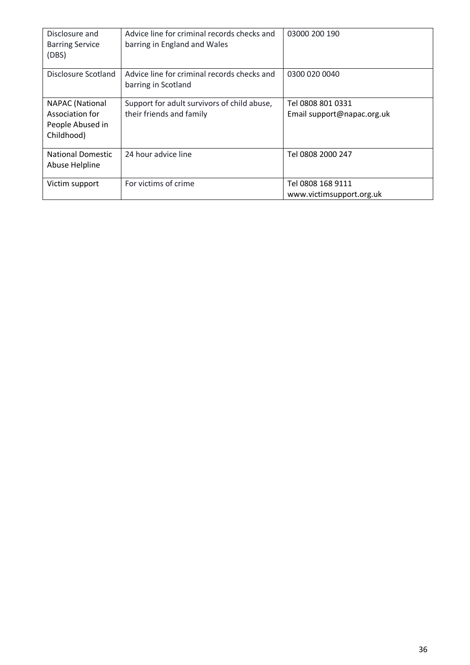| Disclosure and<br><b>Barring Service</b><br>(DBS)                           | Advice line for criminal records checks and<br>barring in England and Wales | 03000 200 190                                   |
|-----------------------------------------------------------------------------|-----------------------------------------------------------------------------|-------------------------------------------------|
| Disclosure Scotland                                                         | Advice line for criminal records checks and<br>barring in Scotland          | 0300 020 0040                                   |
| <b>NAPAC</b> (National<br>Association for<br>People Abused in<br>Childhood) | Support for adult survivors of child abuse,<br>their friends and family     | Tel 0808 801 0331<br>Email support@napac.org.uk |
| <b>National Domestic</b><br>Abuse Helpline                                  | 24 hour advice line                                                         | Tel 0808 2000 247                               |
| Victim support                                                              | For victims of crime                                                        | Tel 0808 168 9111<br>www.victimsupport.org.uk   |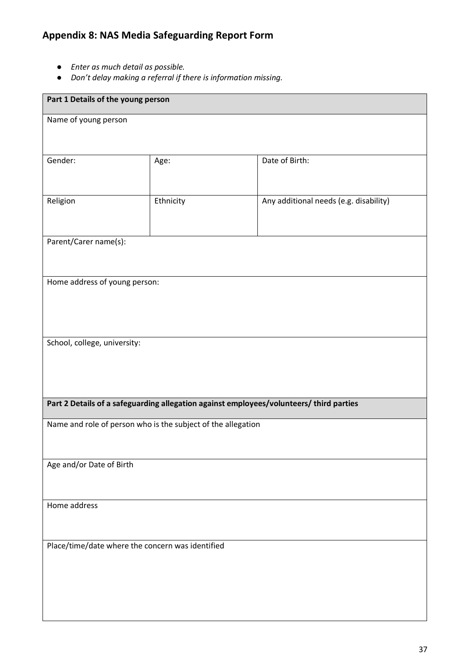## <span id="page-36-0"></span>**Appendix 8: NAS Media Safeguarding Report Form**

- *Enter as much detail as possible.*
- *Don't delay making a referral if there is information missing.*

| Part 1 Details of the young person                                                      |           |                                        |  |
|-----------------------------------------------------------------------------------------|-----------|----------------------------------------|--|
| Name of young person                                                                    |           |                                        |  |
|                                                                                         |           |                                        |  |
| Gender:                                                                                 | Age:      | Date of Birth:                         |  |
|                                                                                         |           |                                        |  |
| Religion                                                                                | Ethnicity | Any additional needs (e.g. disability) |  |
|                                                                                         |           |                                        |  |
| Parent/Carer name(s):                                                                   |           |                                        |  |
|                                                                                         |           |                                        |  |
| Home address of young person:                                                           |           |                                        |  |
|                                                                                         |           |                                        |  |
|                                                                                         |           |                                        |  |
| School, college, university:                                                            |           |                                        |  |
|                                                                                         |           |                                        |  |
|                                                                                         |           |                                        |  |
| Part 2 Details of a safeguarding allegation against employees/volunteers/ third parties |           |                                        |  |
| Name and role of person who is the subject of the allegation                            |           |                                        |  |
|                                                                                         |           |                                        |  |
| Age and/or Date of Birth                                                                |           |                                        |  |
|                                                                                         |           |                                        |  |
| Home address                                                                            |           |                                        |  |
|                                                                                         |           |                                        |  |
| Place/time/date where the concern was identified                                        |           |                                        |  |
|                                                                                         |           |                                        |  |
|                                                                                         |           |                                        |  |
|                                                                                         |           |                                        |  |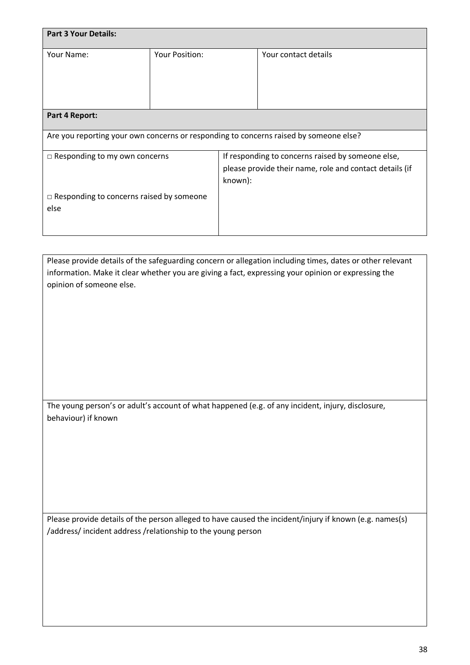| <b>Part 3 Your Details:</b>                                                           |                |         |                                                                                                              |
|---------------------------------------------------------------------------------------|----------------|---------|--------------------------------------------------------------------------------------------------------------|
| Your Name:                                                                            | Your Position: |         | Your contact details                                                                                         |
| Part 4 Report:                                                                        |                |         |                                                                                                              |
| Are you reporting your own concerns or responding to concerns raised by someone else? |                |         |                                                                                                              |
| $\Box$ Responding to my own concerns                                                  |                | known): | If responding to concerns raised by someone else,<br>please provide their name, role and contact details (if |
| $\Box$ Responding to concerns raised by someone<br>else                               |                |         |                                                                                                              |

Please provide details of the safeguarding concern or allegation including times, dates or other relevant information. Make it clear whether you are giving a fact, expressing your opinion or expressing the opinion of someone else.

The young person's or adult's account of what happened (e.g. of any incident, injury, disclosure, behaviour) if known

Please provide details of the person alleged to have caused the incident/injury if known (e.g. names(s) /address/ incident address /relationship to the young person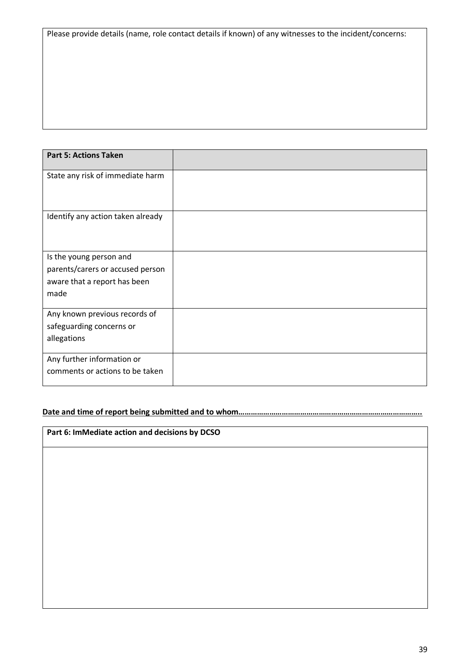Please provide details (name, role contact details if known) of any witnesses to the incident/concerns:

| <b>Part 5: Actions Taken</b>      |  |
|-----------------------------------|--|
| State any risk of immediate harm  |  |
| Identify any action taken already |  |
| Is the young person and           |  |
| parents/carers or accused person  |  |
| aware that a report has been      |  |
| made                              |  |
| Any known previous records of     |  |
| safeguarding concerns or          |  |
| allegations                       |  |
| Any further information or        |  |
| comments or actions to be taken   |  |

### **Date and time of report being submitted and to whom……………………………………………………………………………..**

**Part 6: ImMediate action and decisions by DCSO**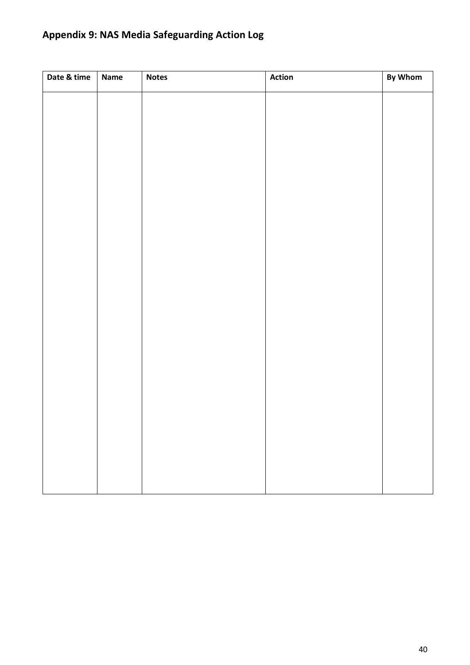## <span id="page-39-0"></span>**Appendix 9: NAS Media Safeguarding Action Log**

| Date & time | Name | <b>Notes</b> | Action | By Whom |
|-------------|------|--------------|--------|---------|
|             |      |              |        |         |
|             |      |              |        |         |
|             |      |              |        |         |
|             |      |              |        |         |
|             |      |              |        |         |
|             |      |              |        |         |
|             |      |              |        |         |
|             |      |              |        |         |
|             |      |              |        |         |
|             |      |              |        |         |
|             |      |              |        |         |
|             |      |              |        |         |
|             |      |              |        |         |
|             |      |              |        |         |
|             |      |              |        |         |
|             |      |              |        |         |
|             |      |              |        |         |
|             |      |              |        |         |
|             |      |              |        |         |
|             |      |              |        |         |
|             |      |              |        |         |
|             |      |              |        |         |
|             |      |              |        |         |
|             |      |              |        |         |
|             |      |              |        |         |
|             |      |              |        |         |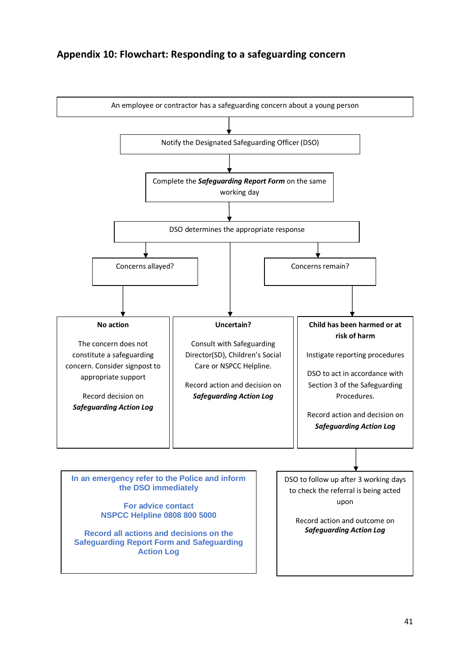## <span id="page-40-0"></span>**Appendix 10: Flowchart: Responding to a safeguarding concern**

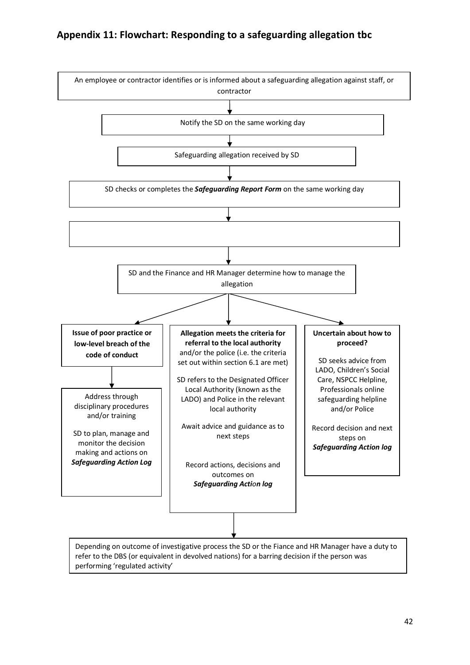## <span id="page-41-0"></span>**Appendix 11: Flowchart: Responding to a safeguarding allegation tbc**



Depending on outcome of investigative process the SD or the Fiance and HR Manager have a duty to refer to the DBS (or equivalent in devolved nations) for a barring decision if the person was performing 'regulated activity'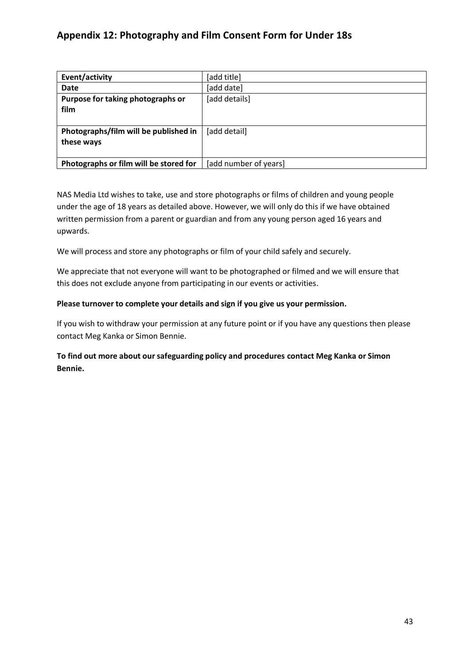## <span id="page-42-0"></span>**Appendix 12: Photography and Film Consent Form for Under 18s**

| Event/activity                                      | [add title]           |
|-----------------------------------------------------|-----------------------|
| Date                                                | [add date]            |
| Purpose for taking photographs or<br>film           | [add details]         |
| Photographs/film will be published in<br>these ways | [add detail]          |
| Photographs or film will be stored for              | [add number of years] |

NAS Media Ltd wishes to take, use and store photographs or films of children and young people under the age of 18 years as detailed above. However, we will only do this if we have obtained written permission from a parent or guardian and from any young person aged 16 years and upwards.

We will process and store any photographs or film of your child safely and securely.

We appreciate that not everyone will want to be photographed or filmed and we will ensure that this does not exclude anyone from participating in our events or activities.

#### **Please turnover to complete your details and sign if you give us your permission.**

If you wish to withdraw your permission at any future point or if you have any questions then please contact Meg Kanka or Simon Bennie.

#### **To find out more about our safeguarding policy and procedures contact Meg Kanka or Simon Bennie.**